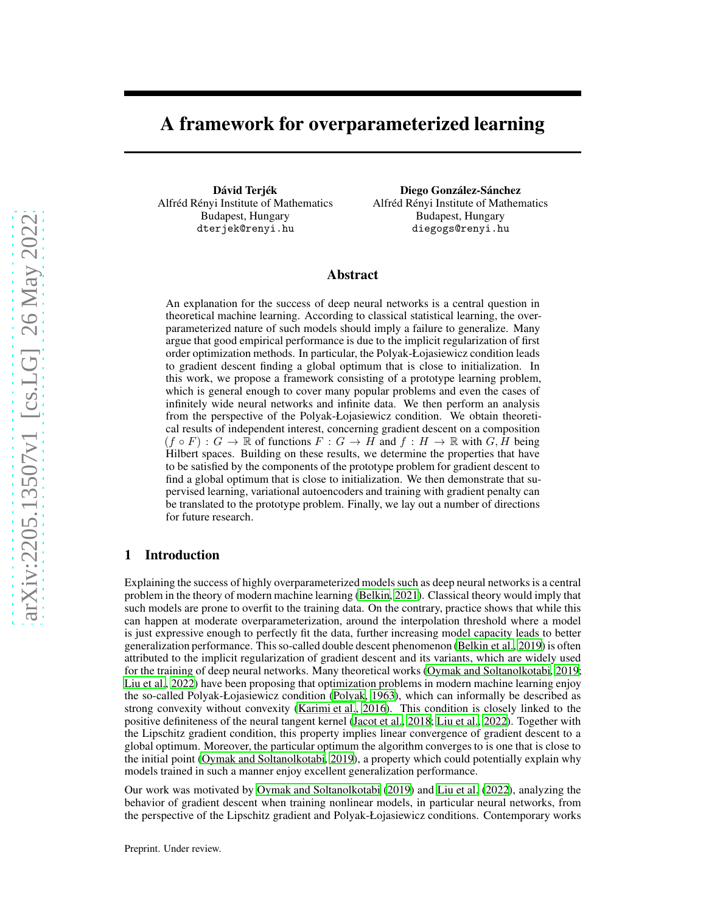# A framework for overparameterized learning

Dávid Terjék Alfréd Rényi Institute of Mathematics Budapest, Hungary dterjek@renyi.hu

Diego González-Sánchez Alfréd Rényi Institute of Mathematics Budapest, Hungary diegogs@renyi.hu

## Abstract

An explanation for the success of deep neural networks is a central question in theoretical machine learning. According to classical statistical learning, the overparameterized nature of such models should imply a failure to generalize. Many argue that good empirical performance is due to the implicit regularization of first order optimization methods. In particular, the Polyak-Łojasiewicz condition leads to gradient descent finding a global optimum that is close to initialization. In this work, we propose a framework consisting of a prototype learning problem, which is general enough to cover many popular problems and even the cases of infinitely wide neural networks and infinite data. We then perform an analysis from the perspective of the Polyak-Łojasiewicz condition. We obtain theoretical results of independent interest, concerning gradient descent on a composition  $(f \circ F) : G \to \mathbb{R}$  of functions  $F : G \to H$  and  $f : H \to \mathbb{R}$  with  $G, H$  being Hilbert spaces. Building on these results, we determine the properties that have to be satisfied by the components of the prototype problem for gradient descent to find a global optimum that is close to initialization. We then demonstrate that supervised learning, variational autoencoders and training with gradient penalty can be translated to the prototype problem. Finally, we lay out a number of directions for future research.

# <span id="page-0-0"></span>1 Introduction

Explaining the success of highly overparameterized models such as deep neural networks is a central problem in the theory of modern machine learning [\(Belkin](#page-9-0), [2021\)](#page-9-0). Classical theory would imply that such models are prone to overfit to the training data. On the contrary, practice shows that while this can happen at moderate overparameterization, around the interpolation threshold where a model is just expressive enough to perfectly fit the data, further increasing model capacity leads to better generalization performance. This so-called double descent phenomenon [\(Belkin et al.](#page-9-1), [2019\)](#page-9-1) is often attributed to the implicit regularization of gradient descent and its variants, which are widely used for the training of deep neural networks. Many theoretical works [\(Oymak and Soltanolkotabi, 2019](#page-11-0); [Liu et al., 2022\)](#page-10-0) have been proposing that optimization problems in modern machine learning enjoy the so-called Polyak-Łojasiewicz condition [\(Polyak, 1963\)](#page-11-1), which can informally be described as strong convexity without convexity [\(Karimi et al., 2016\)](#page-10-1). This condition is closely linked to the positive definiteness of the neural tangent kernel [\(Jacot et](#page-10-2) al., [2018;](#page-10-2) [Liu et al., 2022\)](#page-10-0). Together with the Lipschitz gradient condition, this property implies linear convergence of gradient descent to a global optimum. Moreover, the particular optimum the algorithm converges to is one that is close to the initial point [\(Oymak and Soltanolkotabi, 2019\)](#page-11-0), a property which could potentially explain why models trained in such a manner enjoy excellent generalization performance.

Our work was motivated by [Oymak and Soltanolkotabi \(2019](#page-11-0)) and [Liu et al. \(2022\)](#page-10-0), analyzing the behavior of gradient descent when training nonlinear models, in particular neural networks, from the perspective of the Lipschitz gradient and Polyak-Łojasiewicz conditions. Contemporary works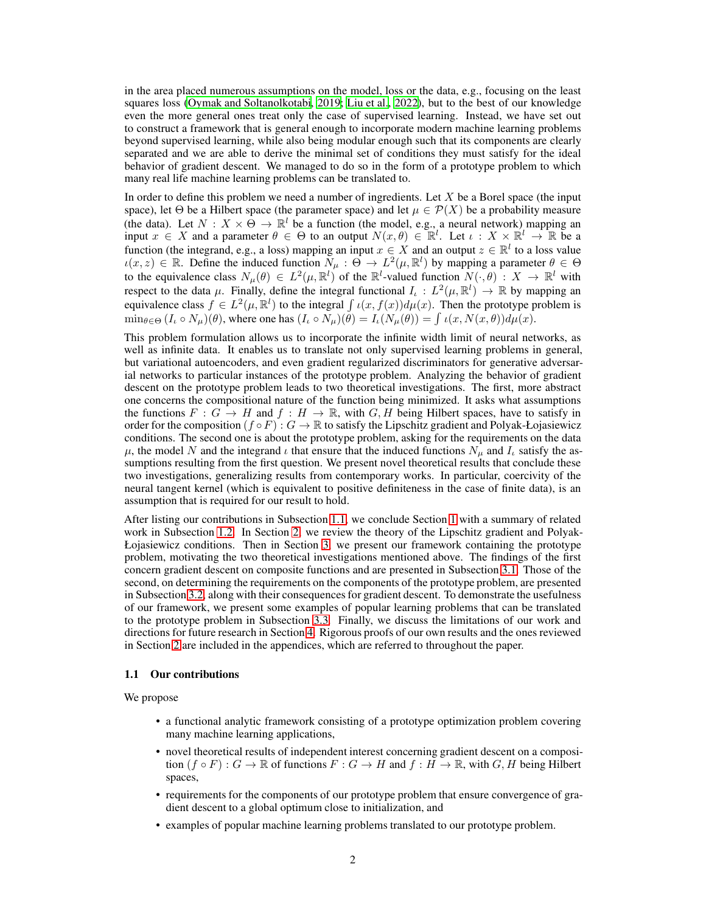in the area placed numerous assumptions on the model, loss or the data, e.g., focusing on the least squares loss [\(Oymak and Soltanolkotabi, 2019;](#page-11-0) [Liu et al., 2022\)](#page-10-0), but to the best of our knowledge even the more general ones treat only the case of supervised learning. Instead, we have set out to construct a framework that is general enough to incorporate modern machine learning problems beyond supervised learning, while also being modular enough such that its components are clearly separated and we are able to derive the minimal set of conditions they must satisfy for the ideal behavior of gradient descent. We managed to do so in the form of a prototype problem to which many real life machine learning problems can be translated to.

In order to define this problem we need a number of ingredients. Let  $X$  be a Borel space (the input space), let Θ be a Hilbert space (the parameter space) and let  $\mu \in \mathcal{P}(X)$  be a probability measure (the data). Let  $N: X \times \Theta \to \mathbb{R}^l$  be a function (the model, e.g., a neural network) mapping an input  $x \in X$  and a parameter  $\theta \in \Theta$  to an output  $N(x, \theta) \in \mathbb{R}^l$ . Let  $\iota : X \times \mathbb{R}^l \to \mathbb{R}$  be a function (the integrand, e.g., a loss) mapping an input  $x \in X$  and an output  $z \in \mathbb{R}^l$  to a loss value  $u(x, z) \in \mathbb{R}$ . Define the induced function  $\tilde{N}_{\mu} : \Theta \to L^2(\mu, \mathbb{R}^l)$  by mapping a parameter  $\theta \in \Theta$ to the equivalence class  $N_{\mu}(\theta) \in L^2(\mu, \mathbb{R}^l)$  of the  $\mathbb{R}^l$ -valued function  $N(\cdot, \theta) : X \to \mathbb{R}^l$  with respect to the data  $\mu$ . Finally, define the integral functional  $I_{\iota}: L^2(\mu, \mathbb{R}^l) \to \mathbb{R}$  by mapping an equivalence class  $f \in L^2(\mu, \mathbb{R}^l)$  to the integral  $\int \iota(x, f(x)) d\mu(x)$ . Then the prototype problem is  $\min_{\theta \in \Theta} (I_{\iota} \circ N_{\mu})(\theta)$ , where one has  $(I_{\iota} \circ N_{\mu})(\theta) = I_{\iota}(N_{\mu}(\theta)) = \int \iota(x, N(x, \theta)) d\mu(x)$ .

This problem formulation allows us to incorporate the infinite width limit of neural networks, as well as infinite data. It enables us to translate not only supervised learning problems in general, but variational autoencoders, and even gradient regularized discriminators for generative adversarial networks to particular instances of the prototype problem. Analyzing the behavior of gradient descent on the prototype problem leads to two theoretical investigations. The first, more abstract one concerns the compositional nature of the function being minimized. It asks what assumptions the functions  $F : G \to H$  and  $f : H \to \mathbb{R}$ , with  $G, H$  being Hilbert spaces, have to satisfy in order for the composition  $(f \circ F) : G \to \mathbb{R}$  to satisfy the Lipschitz gradient and Polyak-Łojasiewicz conditions. The second one is about the prototype problem, asking for the requirements on the data  $\mu$ , the model N and the integrand  $\iota$  that ensure that the induced functions  $N_{\mu}$  and  $I_{\iota}$  satisfy the assumptions resulting from the first question. We present novel theoretical results that conclude these two investigations, generalizing results from contemporary works. In particular, coercivity of the neural tangent kernel (which is equivalent to positive definiteness in the case of finite data), is an assumption that is required for our result to hold.

After listing our contributions in Subsection [1.1,](#page-1-0) we conclude Section [1](#page-0-0) with a summary of related work in Subsection [1.2.](#page-2-0) In Section [2,](#page-2-1) we review the theory of the Lipschitz gradient and Polyak-Łojasiewicz conditions. Then in Section [3,](#page-3-0) we present our framework containing the prototype problem, motivating the two theoretical investigations mentioned above. The findings of the first concern gradient descent on composite functions and are presented in Subsection [3.1.](#page-4-0) Those of the second, on determining the requirements on the components of the prototype problem, are presented in Subsection [3.2,](#page-5-0) along with their consequences for gradient descent. To demonstrate the usefulness of our framework, we present some examples of popular learning problems that can be translated to the prototype problem in Subsection [3.3.](#page-7-0) Finally, we discuss the limitations of our work and directions for future research in Section [4.](#page-8-0) Rigorous proofs of our own results and the ones reviewed in Section [2](#page-2-1) are included in the appendices, which are referred to throughout the paper.

#### <span id="page-1-0"></span>1.1 Our contributions

We propose

- a functional analytic framework consisting of a prototype optimization problem covering many machine learning applications,
- novel theoretical results of independent interest concerning gradient descent on a composition  $(f \circ F) : G \to \mathbb{R}$  of functions  $F : G \to H$  and  $f : H \to \mathbb{R}$ , with  $G, H$  being Hilbert spaces,
- requirements for the components of our prototype problem that ensure convergence of gradient descent to a global optimum close to initialization, and
- examples of popular machine learning problems translated to our prototype problem.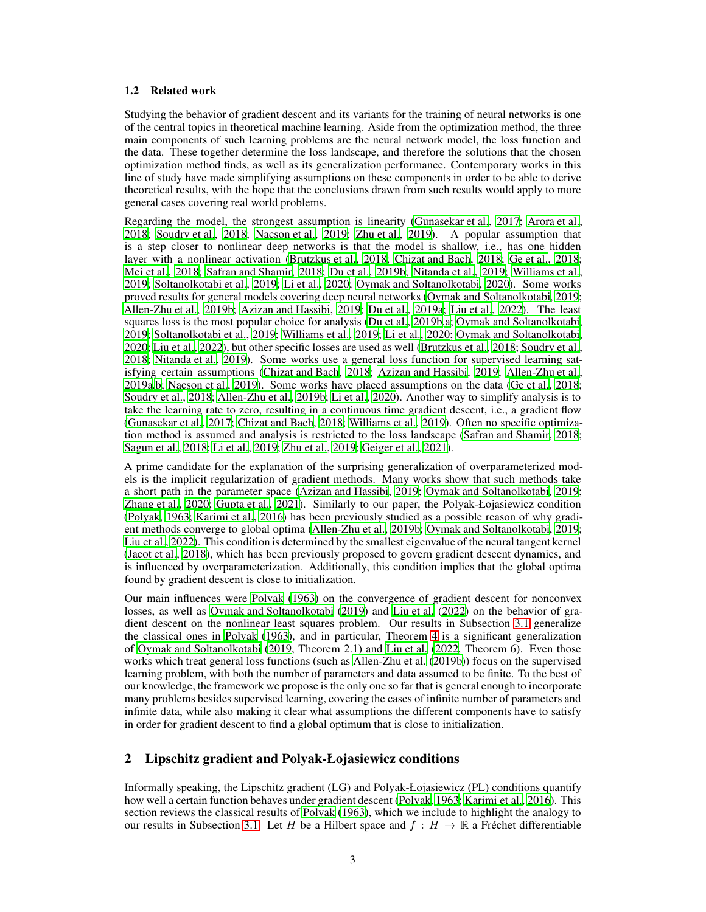#### <span id="page-2-0"></span>1.2 Related work

Studying the behavior of gradient descent and its variants for the training of neural networks is one of the central topics in theoretical machine learning. Aside from the optimization method, the three main components of such learning problems are the neural network model, the loss function and the data. These together determine the loss landscape, and therefore the solutions that the chosen optimization method finds, as well as its generalization performance. Contemporary works in this line of study have made simplifying assumptions on these components in order to be able to derive theoretical results, with the hope that the conclusions drawn from such results would apply to more general cases covering real world problems.

Regarding the model, the strongest assumption is linearity [\(Gunasekar et al.](#page-10-3), [2017;](#page-10-3) [Arora et al.,](#page-9-2) [2018;](#page-9-2) [Soudry et al.](#page-11-2), [2018;](#page-11-2) [Nacson et al.](#page-11-3), [2019;](#page-11-3) [Zhu et al., 2019](#page-11-4)). A popular assumption that is a step closer to nonlinear deep networks is that the model is shallow, i.e., has one hidden layer with a nonlinear activation [\(Brutzkus et al., 2018;](#page-9-3) [Chizat and Bach](#page-9-4), [2018;](#page-9-4) [Ge et al.](#page-9-5), [2018](#page-9-5); [Mei et al., 2018;](#page-10-4) [Safran and Shamir](#page-11-5), [2018;](#page-11-5) [Du et al.](#page-9-6), [2019b;](#page-9-6) [Nitanda et al., 2019](#page-11-6); [Williams et al.,](#page-11-7) [2019;](#page-11-7) [Soltanolkotabi et al.](#page-11-8), [2019](#page-11-8); [Li et al., 2020;](#page-10-5) Oymak and [Soltanolkotabi, 2020\)](#page-11-9). Some works proved results for general models covering deep neural networks [\(Oymak and Soltanolkotabi, 2019](#page-11-0); [Allen-Zhu et al., 2019b;](#page-9-7) [Azizan and Hassibi](#page-9-8), [2019;](#page-9-8) [Du et al.,](#page-9-9) [2019a;](#page-9-9) [Liu et al., 2022](#page-10-0)). The least squares loss is the most popular choice for analysis [\(Du et al., 2019b](#page-9-6)[,a;](#page-9-9) [Oymak and Soltanolkotabi,](#page-11-0) [2019;](#page-11-0) [Soltanolkotabi et al., 2019](#page-11-8); [Williams et al., 2019;](#page-11-7) Li [et al., 2020](#page-10-5); [Oymak and Soltanolkotabi,](#page-11-9) [2020;](#page-11-9) [Liu et al., 2022](#page-10-0)), but other specific losses are used as well [\(Brutzkus et al., 2018](#page-9-3); [Soudry et al.,](#page-11-2) [2018;](#page-11-2) [Nitanda et al., 2019\)](#page-11-6). Some works use a general loss function for supervised learning satisfying certain assumptions [\(Chizat and Bach](#page-9-4), [2018;](#page-9-4) Azizan [and Hassibi](#page-9-8), [2019](#page-9-8); [Allen-Zhu et al.,](#page-9-10) [2019a](#page-9-10)[,b;](#page-9-7) [Nacson et al., 2019](#page-11-3)). Some works have placed assumptions on the data [\(Ge et al.](#page-9-5), [2018](#page-9-5); [Soudry et al., 2018;](#page-11-2) [Allen-Zhu et al.](#page-9-7), [2019b](#page-9-7); [Li et al.](#page-10-5), [2020](#page-10-5)). Another way to simplify analysis is to take the learning rate to zero, resulting in a continuous time gradient descent, i.e., a gradient flow [\(Gunasekar et al.](#page-10-3), [2017;](#page-10-3) [Chizat and Bach](#page-9-4), [2018;](#page-9-4) [Williams et al., 2019](#page-11-7)). Often no specific optimization method is assumed and analysis is restricted to the loss landscape [\(Safran and Shamir, 2018](#page-11-5); [Sagun et al., 2018;](#page-11-10) [Li et al., 2019;](#page-10-6) [Zhu et al., 2019;](#page-11-4) [Geiger et](#page-9-11) al., [2021\)](#page-9-11).

A prime candidate for the explanation of the surprising generalization of overparameterized models is the implicit regularization of gradient methods. Many works show that such methods take a short path in the parameter space [\(Azizan and Hassibi](#page-9-8), [2019;](#page-9-8) [Oymak and Soltanolkotabi](#page-11-0), [2019](#page-11-0); [Zhang et al.](#page-11-11), [2020](#page-11-11); [Gupta et al., 2021\)](#page-10-7). Similarly to our paper, the Polyak-Łojasiewicz condition [\(Polyak, 1963](#page-11-1); [Karimi et al.](#page-10-1), [2016\)](#page-10-1) has been previously studied as a possible reason of why gradient methods converge to global optima [\(Allen-Zhu et al.](#page-9-7), [2019b;](#page-9-7) [Oymak and Soltanolkotabi, 2019](#page-11-0); [Liu et al., 2022](#page-10-0)). This condition is determined by the smallest eigenvalue of the neural tangent kernel [\(Jacot et al.](#page-10-2), [2018\)](#page-10-2), which has been previously proposed to govern gradient descent dynamics, and is influenced by overparameterization. Additionally, this condition implies that the global optima found by gradient descent is close to initialization.

Our main influences were [Polyak \(1963](#page-11-1)) on the convergence of gradient descent for nonconvex losses, as well as [Oymak and Soltanolkotabi \(2019](#page-11-0)) and [Liu et](#page-10-0) al. [\(2022\)](#page-10-0) on the behavior of gradient descent on the nonlinear least squares problem. Our results in Subsection [3.1](#page-4-0) generalize the classical ones in [Polyak \(1963\)](#page-11-1), and in particular, Theorem [4](#page-5-1) is a significant generalization of [Oymak and Soltanolkotabi \(2019,](#page-11-0) Theorem 2.1) and [Liu et al.](#page-10-0) [\(2022,](#page-10-0) Theorem 6). Even those works which treat general loss functions (such as [Allen-Zhu](#page-9-7) et al. [\(2019b\)](#page-9-7)) focus on the supervised learning problem, with both the number of parameters and data assumed to be finite. To the best of our knowledge, the framework we propose is the only one so far that is general enough to incorporate many problems besides supervised learning, covering the cases of infinite number of parameters and infinite data, while also making it clear what assumptions the different components have to satisfy in order for gradient descent to find a global optimum that is close to initialization.

## <span id="page-2-1"></span>2 Lipschitz gradient and Polyak-Łojasiewicz conditions

Informally speaking, the Lipschitz gradient (LG) and Polyak-Łojasiewicz (PL) conditions quantify how well a certain function behaves under gradient descent [\(Polyak, 1963](#page-11-1); [Karimi et al., 2016\)](#page-10-1). This section reviews the classical results of [Polyak](#page-11-1) [\(1963\)](#page-11-1), which we include to highlight the analogy to our results in Subsection [3.1.](#page-4-0) Let H be a Hilbert space and  $f : H \to \mathbb{R}$  a Fréchet differentiable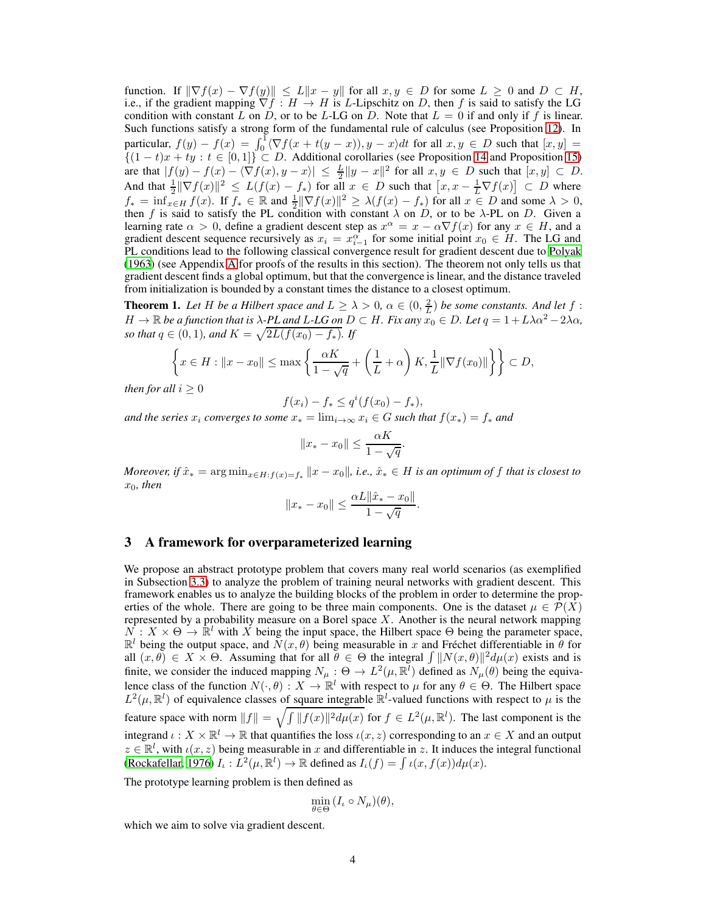function. If  $\|\nabla f(x) - \nabla f(y)\| \le L\|x - y\|$  for all  $x, y \in D$  for some  $L \ge 0$  and  $D \subset H$ , i.e., if the gradient mapping  $\nabla f : H \to H$  is L-Lipschitz on D, then f is said to satisfy the LG condition with constant L on D, or to be L-LG on D. Note that  $L = 0$  if and only if f is linear. Such functions satisfy a strong form of the fundamental rule of calculus (see Proposition [12\)](#page-13-0). In particular,  $f(y) - f(x) = \int_0^1 \langle \nabla f(x + t(y - x)), y - x \rangle dt$  for all  $x, y \in D$  such that  $[x, y] =$  $\{(1-t)x + ty : t \in [0,1]\} \subset D$ . Additional corollaries (see Proposition [14](#page-13-1) and Proposition [15\)](#page-14-0) are that  $|f(y) - f(x)| \leq \sqrt{\frac{y}{y}}$   $\leq \frac{y}{2}$   $\|y - x\|^2$  for all  $x, y \in D$  such that  $[x, y] \subset D$ . And that  $\frac{1}{2} \|\nabla f(x)\|^2 \le L(f(x) - f_*)$  for all  $x \in D$  such that  $\left[x, x - \frac{1}{L}\nabla f(x)\right] \subset D$  where  $f_* = \inf_{x \in H} f(x)$ . If  $f_* \in \mathbb{R}$  and  $\frac{1}{2} \|\nabla f(x)\|^2 \geq \lambda(f(x) - f_*)$  for all  $x \in D$  and some  $\lambda > 0$ , then f is said to satisfy the PL condition with constant  $\lambda$  on D, or to be  $\lambda$ -PL on D. Given a learning rate  $\alpha > 0$ , define a gradient descent step as  $x^{\alpha} = x - \alpha \nabla f(x)$  for any  $x \in H$ , and a gradient descent sequence recursively as  $x_i = x_{i-1}^{\alpha}$  for some initial point  $x_0 \in H$ . The LG and PL conditions lead to the following classical convergence result for gradient descent due to [Polyak](#page-11-1) [\(1963\)](#page-11-1) (see Appendix [A](#page-12-0) for proofs of the results in this section). The theorem not only tells us that gradient descent finds a global optimum, but that the convergence is linear, and the distance traveled from initialization is bounded by a constant times the distance to a closest optimum.

<span id="page-3-1"></span>**Theorem 1.** Let H be a Hilbert space and  $L \ge \lambda > 0$ ,  $\alpha \in (0, \frac{2}{L})$  be some constants. And let f:  $H \to \mathbb{R}$  *be a function that is*  $\lambda$ -PL and L-LG on  $D \subset H$ *. Fix any*  $x_0 \in D$ *. Let*  $q = 1 + L\lambda\alpha^2 - 2\lambda\alpha$ *, so that*  $q \in (0, 1)$ *, and*  $K = \sqrt{2L(f(x_0) - f_*)}$ *. If* 

$$
\left\{ x \in H : \|x - x_0\| \le \max\left\{ \frac{\alpha K}{1 - \sqrt{q}} + \left(\frac{1}{L} + \alpha\right)K, \frac{1}{L} \|\nabla f(x_0)\| \right\} \right\} \subset D,
$$

*then for all*  $i \geq 0$ 

$$
f(x_i) - f_* \le q^i(f(x_0) - f_*),
$$

*and the series*  $x_i$  *converges to some*  $x_* = \lim_{i \to \infty} x_i \in G$  *such that*  $f(x_*) = f_*$  *and* 

$$
||x_* - x_0|| \le \frac{\alpha K}{1 - \sqrt{q}}.
$$

*Moreover, if*  $\hat{x}_* = \arg \min_{x \in H : f(x) = f_*} ||x - x_0||$ , *i.e.,*  $\hat{x}_* \in H$  *is an optimum of* f *that is closest to*  $x_0$ , then

$$
||x_* - x_0|| \leq \frac{\alpha L ||\hat{x}_* - x_0||}{1 - \sqrt{q}}.
$$

### <span id="page-3-0"></span>3 A framework for overparameterized learning

We propose an abstract prototype problem that covers many real world scenarios (as exemplified in Subsection [3.3\)](#page-7-0) to analyze the problem of training neural networks with gradient descent. This framework enables us to analyze the building blocks of the problem in order to determine the properties of the whole. There are going to be three main components. One is the dataset  $\mu \in \mathcal{P}(X)$ represented by a probability measure on a Borel space  $X$ . Another is the neural network mapping  $\overline{N}$ :  $X \times \Theta \rightarrow \mathbb{R}^l$  with  $\overline{X}$  being the input space, the Hilbert space  $\Theta$  being the parameter space,  $\mathbb{R}^l$  being the output space, and  $\overline{N}(x,\theta)$  being measurable in x and Fréchet differentiable in  $\theta$  for all  $(x, \theta) \in X \times \Theta$ . Assuming that for all  $\theta \in \Theta$  the integral  $\int ||N(x, \theta)||^2 d\mu(x)$  exists and is finite, we consider the induced mapping  $N_{\mu}$ :  $\Theta \to L^2(\mu, \mathbb{R}^l)$  defined as  $N_{\mu}(\theta)$  being the equivalence class of the function  $N(\cdot,\theta): X \to \mathbb{R}^l$  with respect to  $\mu$  for any  $\theta \in \Theta$ . The Hilbert space  $L^2(\mu, \mathbb{R}^l)$  of equivalence classes of square integrable  $\mathbb{R}^l$ -valued functions with respect to  $\mu$  is the feature space with norm  $||f|| = \sqrt{\int ||f(x)||^2 d\mu(x)}$  for  $f \in L^2(\mu, \mathbb{R}^l)$ . The last component is the integrand  $\iota : X \times \mathbb{R}^l \to \mathbb{R}$  that quantifies the loss  $\iota(x, z)$  corresponding to an  $x \in X$  and an output  $z \in \mathbb{R}^l$ , with  $\iota(x, z)$  being measurable in x and differentiable in z. It induces the integral functional [\(Rockafellar, 1976\)](#page-11-12)  $I_{\iota}: L^2(\mu, \mathbb{R}^l) \to \mathbb{R}$  defined as  $I_{\iota}(f) = \int \iota(x, f(x)) d\mu(x)$ .

The prototype learning problem is then defined as

$$
\min_{\theta \in \Theta} (I_{\iota} \circ N_{\mu})(\theta),
$$

which we aim to solve via gradient descent.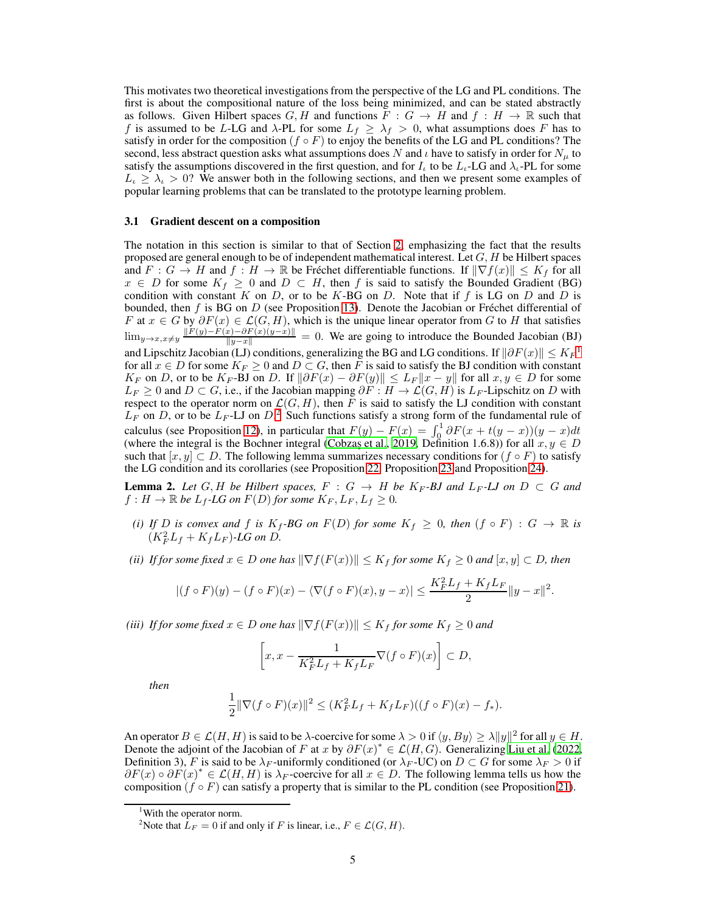This motivates two theoretical investigations from the perspective of the LG and PL conditions. The first is about the compositional nature of the loss being minimized, and can be stated abstractly as follows. Given Hilbert spaces  $G, H$  and functions  $F : G \to H$  and  $f : H \to \mathbb{R}$  such that f is assumed to be L-LG and  $\lambda$ -PL for some  $L_f \geq \lambda_f > 0$ , what assumptions does F has to satisfy in order for the composition ( $f \circ F$ ) to enjoy the benefits of the LG and PL conditions? The second, less abstract question asks what assumptions does N and  $\iota$  have to satisfy in order for  $N_{\iota\iota}$  to satisfy the assumptions discovered in the first question, and for  $I_L$  to be  $L_L$ -LG and  $\lambda_L$ -PL for some  $L_i \geq \lambda_i > 0$ ? We answer both in the following sections, and then we present some examples of popular learning problems that can be translated to the prototype learning problem.

#### <span id="page-4-0"></span>3.1 Gradient descent on a composition

The notation in this section is similar to that of Section [2,](#page-2-1) emphasizing the fact that the results proposed are general enough to be of independent mathematical interest. Let  $G, H$  be Hilbert spaces and  $F: G \to H$  and  $f: H \to \mathbb{R}$  be Fréchet differentiable functions. If  $\|\nabla f(x)\| \leq K_f$  for all  $x \in D$  for some  $K_f \geq 0$  and  $D \subset H$ , then f is said to satisfy the Bounded Gradient (BG) condition with constant K on D, or to be K-BG on D. Note that if f is LG on D and D is bounded, then f is BG on  $D$  (see Proposition [13\)](#page-13-2). Denote the Jacobian or Fréchet differential of F at  $x \in G$  by  $\partial F(x) \in \mathcal{L}(G, H)$ , which is the unique linear operator from G to H that satisfies  $\lim_{y\to x, x\neq y} \frac{\|F(y)-F(x)-\partial F(x)(y-x)\|}{\|y-x\|} = 0$ . We are going to introduce the Bounded Jacobian (BJ) and Lipschitz Jacobian (LJ) conditions, generalizing the BG and LG conditions. If  $\|\partial F(x)\| \leq K_F^{-1}$  $\|\partial F(x)\| \leq K_F^{-1}$  $\|\partial F(x)\| \leq K_F^{-1}$ for all  $x \in D$  for some  $K_F \geq 0$  and  $D \subset G$ , then F is said to satisfy the BJ condition with constant  $K_F$  on D, or to be  $K_F$ -BJ on D. If  $\|\partial F(x) - \partial F(y)\| \leq L_F \|x - y\|$  for all  $x, y \in D$  for some  $L_F \geq 0$  and  $D \subset G$ , i.e., if the Jacobian mapping  $\partial F : H \to \mathcal{L}(G, H)$  is  $L_F$ -Lipschitz on D with respect to the operator norm on  $\mathcal{L}(G, H)$ , then F is said to satisfy the LJ condition with constant  $L_F$  on D, or to be  $L_F$ -LJ on D.<sup>[2](#page-4-2)</sup> Such functions satisfy a strong form of the fundamental rule of calculus (see Proposition [12\)](#page-13-0), in particular that  $F(y) - F(x) = \int_0^1 \partial F(x + t(y - x))(y - x)dt$ (where the integral is the Bochner integral (Cobzaş et al., [2019,](#page-9-12) Definition 1.6.8)) for all  $x, y \in D$ such that  $[x, y] \subset D$ . The following lemma summarizes necessary conditions for  $(f \circ F)$  to satisfy the LG condition and its corollaries (see Proposition [22,](#page-17-0) Proposition [23](#page-17-1) and Proposition [24\)](#page-18-0).

<span id="page-4-3"></span>**Lemma 2.** Let G, H be Hilbert spaces,  $F : G \rightarrow H$  be  $K_F$ -BJ and  $L_F$ -LJ on  $D \subset G$  and  $f: H \to \mathbb{R}$  be  $L_f$ -LG on  $F(D)$  for some  $K_F, L_F, L_f \geq 0$ .

- *(i)* If D is convex and f is  $K_f$ -BG on  $F(D)$  for some  $K_f \geq 0$ , then  $(f \circ F) : G \to \mathbb{R}$  is  $(K_F^2L_f + K_fL_F)$ -LG on D.
- *(ii) If for some fixed*  $x \in D$  *one has*  $\|\nabla f(F(x))\| \leq K_f$  *for some*  $K_f \geq 0$  *and*  $[x, y] \subset D$ *, then*

$$
|(f \circ F)(y) - (f \circ F)(x) - \langle \nabla (f \circ F)(x), y - x \rangle| \le \frac{K_F^2 L_f + K_f L_F}{2} ||y - x||^2.
$$

*(iii) If for some fixed*  $x \in D$  *one has*  $\|\nabla f(F(x))\| \leq K_f$  *for some*  $K_f \geq 0$  *and* 

$$
\left[x, x - \frac{1}{K_F^2 L_f + K_f L_F} \nabla (f \circ F)(x)\right] \subset D,
$$

*then*

$$
\frac{1}{2} \|\nabla (f \circ F)(x)\|^2 \le (K_F^2 L_f + K_f L_F)((f \circ F)(x) - f_*).
$$

An operator  $B \in \mathcal{L}(H, H)$  is said to be  $\lambda$ -coercive for some  $\lambda > 0$  if  $\langle y, By \rangle \ge \lambda ||y||^2$  for all  $y \in H$ . Denote the adjoint of the Jacobian of F at x by  $\partial F(x)^* \in \mathcal{L}(H, G)$ . Generalizing [Liu et al. \(2022,](#page-10-0) Definition 3), F is said to be  $\lambda_F$ -uniformly conditioned (or  $\lambda_F$ -UC) on  $D \subset G$  for some  $\lambda_F > 0$  if  $\partial F(x) \circ \partial F(x)^* \in \mathcal{L}(H, H)$  is  $\lambda_F$ -coercive for all  $x \in D$ . The following lemma tells us how the composition ( $f \circ F$ ) can satisfy a property that is similar to the PL condition (see Proposition [21\)](#page-16-0).

<sup>&</sup>lt;sup>1</sup>With the operator norm.

<span id="page-4-2"></span><span id="page-4-1"></span><sup>&</sup>lt;sup>2</sup>Note that  $L_F = 0$  if and only if F is linear, i.e.,  $F \in \mathcal{L}(G, H)$ .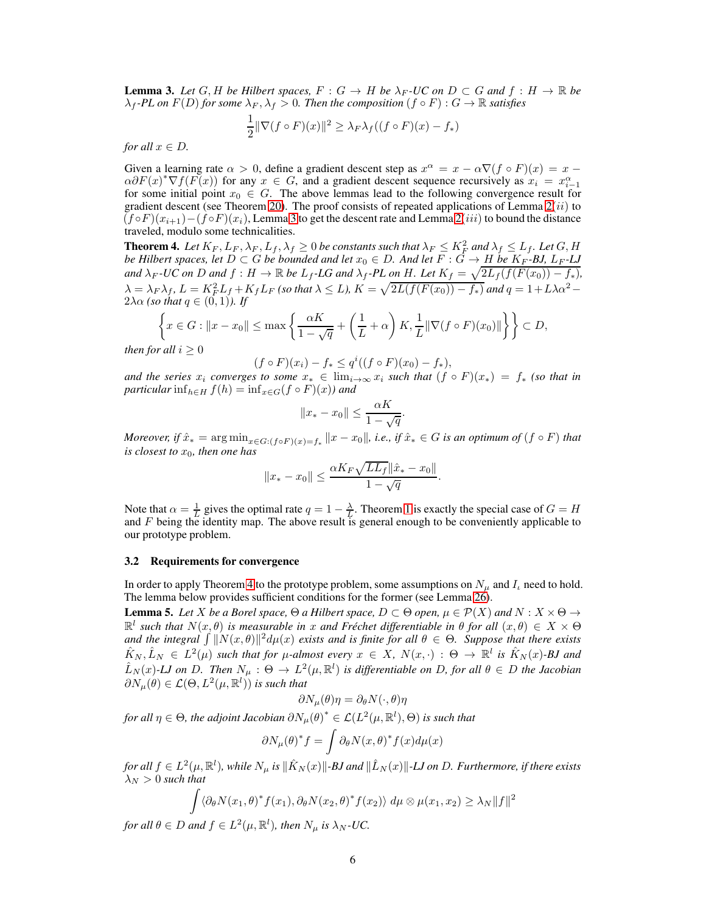<span id="page-5-2"></span>**Lemma 3.** Let G, H be Hilbert spaces,  $F: G \to H$  be  $\lambda_F$ -UC on  $D \subset G$  and  $f: H \to \mathbb{R}$  be  $\lambda_f$  *-PL* on  $F(D)$  for some  $\lambda_F$ ,  $\lambda_f > 0$ . Then the composition  $(f \circ F) : G \to \mathbb{R}$  satisfies

$$
\frac{1}{2} \|\nabla (f \circ F)(x)\|^2 \ge \lambda_F \lambda_f ((f \circ F)(x) - f_*)
$$

*for all*  $x \in D$ *.* 

Given a learning rate  $\alpha > 0$ , define a gradient descent step as  $x^{\alpha} = x - \alpha \nabla (f \circ F)(x) = x - \alpha \nabla (f \circ F)(x)$  $\alpha \partial F(x)^* \nabla f(F(x))$  for any  $x \in G$ , and a gradient descent sequence recursively as  $x_i = x_i^{\alpha}$ for some initial point  $x_0 \in G$ . The above lemmas lead to the following convergence result for some initial point  $x_0 \in G$ . The above lemmas lead to the following convergence result for gradient descent (see Theorem [20\)](#page-16-1). The proof consists of repeated applications of Lemma  $2(ii)$  to  $(f \circ F)(x_{i+1}) - (f \circ F)(x_i)$ , Lemma [3](#page-5-2) to get the descent rate and Lemma [2](#page-4-3)(iii) to bound the distance traveled, modulo some technicalities.

<span id="page-5-1"></span>**Theorem 4.** Let  $K_F$ ,  $L_F$ ,  $\lambda_F$ ,  $L_f$ ,  $\lambda_f \geq 0$  be constants such that  $\lambda_F \leq K_F^2$  and  $\lambda_f \leq L_f$ . Let  $G$ ,  $H$ *be Hilbert spaces, let*  $D \subset G$  *be bounded and let*  $x_0 \in D$ *. And let*  $F : G \to H$  *be*  $K_F$ -*BJ, L<sub>F</sub>*-*LJ and*  $\lambda_F$  *-UC on* D *and*  $f : H \to \mathbb{R}$  *be*  $L_f$  *-LG and*  $\lambda_f$  *-PL on* H. Let  $K_f = \sqrt{2L_f(f(F(x_0)) - f_*)}$ *,*  $\lambda = \lambda_F \lambda_f$ ,  $L = K_F^2 L_f + K_f L_F$  *(so that*  $\lambda \le L$ *),*  $K = \sqrt{2L(f(F(x_0)) - f_*)}$  *and*  $q = 1 + L\lambda\alpha^2 2\lambda\alpha$  *(so that*  $q \in (0,1)$ *). If* 

$$
\left\{x \in G : \|x - x_0\| \le \max\left\{\frac{\alpha K}{1 - \sqrt{q}} + \left(\frac{1}{L} + \alpha\right)K, \frac{1}{L} \|\nabla (f \circ F)(x_0)\| \right\}\right\} \subset D,
$$

*then for all*  $i > 0$ 

 $(f \circ F)(x_i) - f_* \leq q^i((f \circ F)(x_0) - f_*),$ 

*and the series*  $x_i$  *converges to some*  $x_* \in \lim_{i \to \infty} x_i$  *such that*  $(f \circ F)(x_*) = f_*$  *(so that in*) *particular*  $\inf_{h \in H} f(h) = \inf_{x \in G} (f \circ F)(x)$ *)* and

$$
||x_* - x_0|| \le \frac{\alpha K}{1 - \sqrt{q}}.
$$

*Moreover, if*  $\hat{x}_* = \arg \min_{x \in G: (f \circ F)(x) = f_*} ||x - x_0||$ , i.e., if  $\hat{x}_* \in G$  is an optimum of  $(f \circ F)$  that *is closest to*  $x_0$ *, then one has* 

$$
||x_{*} - x_{0}|| \leq \frac{\alpha K_{F} \sqrt{LL_{f}} ||\hat{x}_{*} - x_{0}||}{1 - \sqrt{q}}.
$$

Note that  $\alpha = \frac{1}{L}$  gives the optimal rate  $q = 1 - \frac{\lambda}{L}$  $q = 1 - \frac{\lambda}{L}$  $q = 1 - \frac{\lambda}{L}$ . Theorem 1 is exactly the special case of  $G = H$ and  $F$  being the identity map. The above result is general enough to be conveniently applicable to our prototype problem.

#### <span id="page-5-0"></span>3.2 Requirements for convergence

In order to apply Theorem [4](#page-5-1) to the prototype problem, some assumptions on  $N_u$  and  $I_u$  need to hold. The lemma below provides sufficient conditions for the former (see Lemma [26\)](#page-20-0).

**Lemma 5.** Let X be a Borel space,  $\Theta$  a Hilbert space,  $D \subset \Theta$  open,  $\mu \in \mathcal{P}(X)$  and  $N : X \times \Theta \to$  $\mathbb{R}^l$  such that  $N(x, \theta)$  is measurable in x and Fréchet differentiable in  $\theta$  for all  $(x, \theta) \in X \times \Theta$ and the integral  $\int \|N(x,\theta)\|^2 d\mu(x)$  exists and is finite for all  $\theta \in \Theta$ . Suppose that there exists  $\hat{K}_N, \hat{L}_N \in L^2(\mu)$  *such that for*  $\mu$ -almost every  $x \in X$ ,  $N(x, \cdot) : \Theta \to \mathbb{R}^l$  is  $\hat{K}_N(x)$ -BJ and  $\hat{L}_N(x)$ -LJ on D. Then  $N_\mu$ :  $\Theta \to L^2(\mu, \mathbb{R}^l)$  is differentiable on D, for all  $\theta \in D$  the Jacobian  $\partial N_\mu(\theta) \in \mathcal{L}(\Theta, L^2(\mu, \mathbb{R}^l))$  is such that

$$
\partial N_{\mu}(\theta)\eta = \partial_{\theta} N(\cdot, \theta)\eta
$$

for all  $\eta \in \Theta$ , the adjoint Jacobian  $\partial N_\mu(\theta)^* \in \mathcal{L}(L^2(\mu,\mathbb{R}^l),\Theta)$  is such that

$$
\partial N_{\mu}(\theta)^{*} f = \int \partial_{\theta} N(x, \theta)^{*} f(x) d\mu(x)
$$

 $f$ or all  $f\in L^2(\mu,\mathbb{R}^l)$ , while  $N_\mu$  is  $\|\hat{K}_N(x)\|$ -BJ and  $\|\hat{L}_N(x)\|$ -LJ on D. Furthermore, if there exists  $\lambda_N > 0$  such that

$$
\int \langle \partial_{\theta} N(x_1, \theta)^* f(x_1), \partial_{\theta} N(x_2, \theta)^* f(x_2) \rangle d\mu \otimes \mu(x_1, x_2) \ge \lambda_N ||f||^2
$$

*for all*  $\theta \in D$  *and*  $f \in L^2(\mu, \mathbb{R}^l)$ *, then*  $N_{\mu}$  *is*  $\lambda_N$ *-UC.*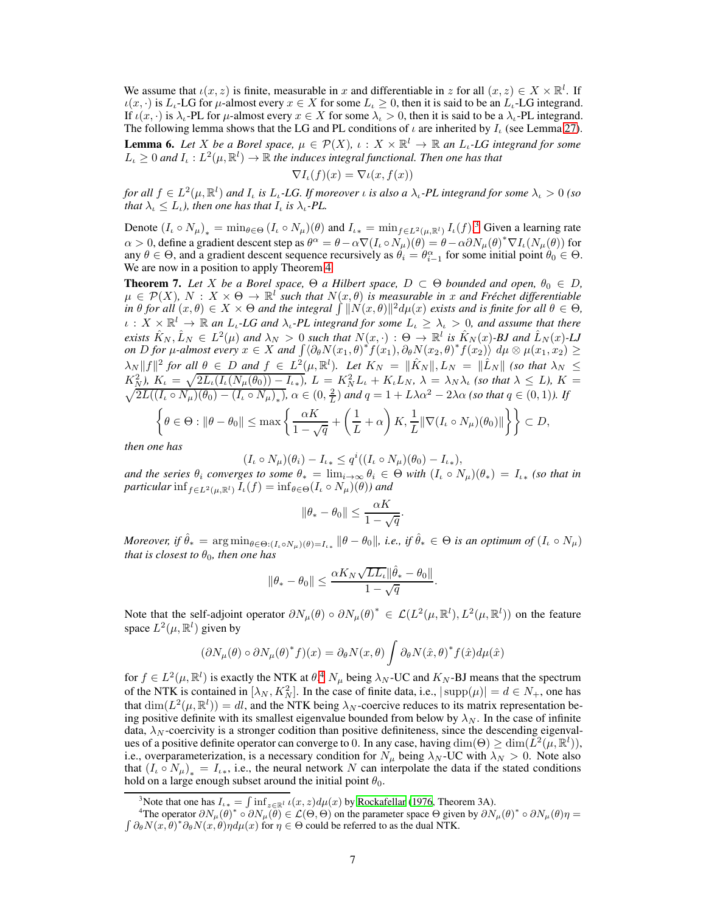We assume that  $\iota(x, z)$  is finite, measurable in x and differentiable in z for all  $(x, z) \in X \times \mathbb{R}^l$ . If  $\iota(x, \cdot)$  is  $L_{\iota}$ -LG for  $\mu$ -almost every  $x \in X$  for some  $L_{\iota} \geq 0$ , then it is said to be an  $L_{\iota}$ -LG integrand. If  $\iota(x, \cdot)$  is  $\lambda_{\iota}$ -PL for  $\mu$ -almost every  $x \in X$  for some  $\lambda_{\iota} > 0$ , then it is said to be a  $\lambda_{\iota}$ -PL integrand. The following lemma shows that the LG and PL conditions of  $\iota$  are inherited by  $I_{\iota}$  (see Lemma [27\)](#page-21-0).

**Lemma 6.** Let *X* be a Borel space,  $\mu \in \mathcal{P}(X)$ ,  $\iota : X \times \mathbb{R}^l \to \mathbb{R}$  an  $L_{\iota}$ -LG integrand for some  $L_{\iota} \geq 0$  and  $I_{\iota}: L^2(\mu, \mathbb{R}^l) \to \mathbb{R}$  the induces integral functional. Then one has that

$$
\nabla I_{\iota}(f)(x) = \nabla \iota(x, f(x))
$$

*for all*  $f \in L^2(\mu, \mathbb{R}^l)$  *and*  $I_t$  *is*  $L_t$ -LG. If moreover *i is also a*  $\lambda_t$ -PL *integrand for some*  $\lambda_t > 0$  *(so that*  $\lambda_{\iota} \leq L_{\iota}$ *), then one has that*  $I_{\iota}$  *is*  $\lambda_{\iota}$ *-PL*.

Denote  $(I_\iota \circ N_\mu)_* = \min_{\theta \in \Theta} (I_\iota \circ N_\mu)(\theta)$  and  $I_\iota_* = \min_{f \in L^2(\mu, \mathbb{R}^l)} I_\iota(f).^3$  $I_\iota_* = \min_{f \in L^2(\mu, \mathbb{R}^l)} I_\iota(f).^3$  Given a learning rate  $\alpha > 0$ , define a gradient descent step as  $\theta^{\alpha} = \theta - \alpha \nabla (I_{\iota} \circ N_{\mu})(\theta) = \theta - \alpha \partial N_{\mu}(\theta)^{*} \nabla I_{\iota}(N_{\mu}(\theta))$  for any  $\theta \in \Theta$ , and a gradient descent sequence recursively as  $\theta_i = \theta_{i-1}^{\alpha}$  for some initial point  $\theta_0 \in \Theta$ . We are now in a position to apply Theorem [4.](#page-5-1)

**Theorem 7.** Let X be a Borel space,  $\Theta$  a Hilbert space,  $D \subset \Theta$  bounded and open,  $\theta_0 \in D$ ,  $\mu \in \mathcal{P}(X)$ ,  $N : X \times \Theta \to \mathbb{R}^l$  such that  $N(x, \theta)$  is measurable in x and Fréchet differentiable  $\int \sin \theta$  *for all*  $(x, \theta) \in X \times \Theta$  *and the integral*  $\int \|\dot{N}(x, \theta)\|^2 d\mu(x)$  *exists and is finite for all*  $\theta \in \Theta$ *,*  $\iota: X \times \mathbb{R}^l \to \mathbb{R}$  an  $L_\iota$ -LG and  $\lambda_\iota$ -PL integrand for some  $L_\iota \geq \lambda_\iota > 0$ , and assume that there *exists*  $\hat{K}_N$ ,  $\hat{L}_N \in L^2(\mu)$  *and*  $\lambda_N > 0$  *such that*  $N(x, \cdot) : \Theta \to \mathbb{R}^l$  *is*  $\hat{K}_N(x)$ *-BJ and*  $\hat{L}_N(x)$ *-LJ on*  $D$  *for µ-almost every*  $x \in X$  *and*  $\int \langle \partial_{\theta} N(x_1, \theta)^* f(x_1), \partial_{\theta} N(x_2, \theta)^* f(x_2) \rangle d\mu \otimes \mu(x_1, x_2) \ge$  $\lambda_N \|f\|^2$  for all  $\theta \in D$  and  $f \in L^2(\mu, \mathbb{R}^l)$ . Let  $K_N = \|\hat{K}_N\|, L_N = \|\hat{L}_N\|$  (so that  $\lambda_N \leq$  $K_N^2$ ,  $K_t = \sqrt{2L_t(I_t(N_\mu(\theta_0)) - I_{t*})}$ ,  $L = K_N^2 L_t + K_t L_N$ ,  $\lambda = \lambda_N \lambda_t$  (so that  $\lambda \le L$ ),  $K = \sqrt{2L((I_t \circ N_\mu)(\theta_0) - (I_t \circ N_\mu)_*)}$ ,  $\alpha \in (0, \frac{2}{L})$  and  $q = 1 + L\lambda\alpha^2 - 2\lambda\alpha$  (so that  $q \in (0, 1)$ ). If  $\left\{\theta \in \Theta : \|\theta - \theta_0\| \leq \max\left\{\frac{\alpha K}{1 - \alpha}\right\}$  $\frac{\alpha K}{1-\sqrt{q}}+\bigg(\frac{1}{L}% {\displaystyle\sum\limits_{k=1}^{L}% \frac{1}{\left( \frac{d-1}{L}% \right) }}\bigg)^{k}\frac{1}{\left( \frac{d-1}{L}% \right) ^{k}}\bigg)^{k}\frac{1}{\left( \frac{d-1}{L}% \right) ^{k}}\bigg)^{k}\frac{1}{\left( \frac{d-1}{L}% \right) ^{k}}\bigg)^{k}\frac{1}{\left( \frac{d-1}{L}% \right) ^{k}}\bigg)^{k}\frac{1}{\left( \frac{d-1}{L}% \right) ^{k}}\bigg)^{k}\frac{1}{\$  $\frac{1}{L} + \alpha \bigg) K, \frac{1}{L} \|\nabla (I_{\iota} \circ N_{\mu})(\theta_0)\| \bigg\} \bigg\} \subset D,$ 

*then one has*

$$
(I_{\iota} \circ N_{\mu})(\theta_i) - I_{\iota} \le q^i((I_{\iota} \circ N_{\mu})(\theta_0) - I_{\iota})
$$

*and the series*  $\theta_i$  *converges to some*  $\theta_* = \lim_{i \to \infty} \theta_i \in \Theta$  *with*  $(I_\iota \circ N_\mu)(\theta_*) = I_{\iota*}$  *(so that in*) *particular* inf<sub>f∈L2( $\mu$ , $\mathbb{R}^l$ )  $I_{\iota}(f) = \inf_{\theta \in \Theta} (I_{\iota} \circ N_{\mu})(\theta)$ *)* and</sub>

$$
\|\theta_* - \theta_0\| \le \frac{\alpha K}{1 - \sqrt{q}}
$$

.

*Moreover, if*  $\hat{\theta}_* = \arg \min_{\theta \in \Theta: (I_\iota \circ N_\mu)(\theta) = I_{\iota_*}} \|\theta - \theta_0\|$ , *i.e., if*  $\hat{\theta}_* \in \Theta$  *is an optimum of*  $(I_\iota \circ N_\mu)$ *that is closest to*  $\theta_0$ *, then one has* 

$$
\|\theta_*-\theta_0\|\leq \frac{\alpha K_N\sqrt{LL_\iota}\|\hat\theta_*-\theta_0\|}{1-\sqrt{q}}.
$$

Note that the self-adjoint operator  $\partial N_{\mu}(\theta) \circ \partial N_{\mu}(\theta)^{*} \in \mathcal{L}(L^{2}(\mu, \mathbb{R}^{l}), L^{2}(\mu, \mathbb{R}^{l}))$  on the feature space  $L^2(\mu, \mathbb{R}^l)$  given by

$$
(\partial N_{\mu}(\theta) \circ \partial N_{\mu}(\theta)^{*} f)(x) = \partial_{\theta} N(x, \theta) \int \partial_{\theta} N(\hat{x}, \theta)^{*} f(\hat{x}) d\mu(\hat{x})
$$

for  $f \in L^2(\mu, \mathbb{R}^l)$  is exactly the NTK at  $\theta$ .<sup>[4](#page-6-1)</sup>  $N_\mu$  being  $\lambda_N$ -UC and  $K_N$ -BJ means that the spectrum of the NTK is contained in  $[\lambda_N, K_N^2]$ . In the case of finite data, i.e.,  $|\text{supp}(\mu)| = d \in N_+$ , one has that  $\dim(L^2(\mu, \mathbb{R}^l)) = dl$ , and the NTK being  $\lambda_N$ -coercive reduces to its matrix representation being positive definite with its smallest eigenvalue bounded from below by  $\lambda_N$ . In the case of infinite data,  $\lambda_N$ -coercivity is a stronger codition than positive definiteness, since the descending eigenvalues of a positive definite operator can converge to 0. In any case, having  $\dim(\Theta) \ge \dim(L^2(\mu, \mathbb{R}^l)),$ i.e., overparameterization, is a necessary condition for  $N_{\mu}$  being  $\lambda_N$ -UC with  $\lambda_N > 0$ . Note also that  $(I_{\iota} \circ N_{\mu})_* = I_{\iota*}$ , i.e., the neural network N can interpolate the data if the stated conditions hold on a large enough subset around the initial point  $\theta_0$ .

<span id="page-6-0"></span><sup>&</sup>lt;sup>3</sup>Note that one has  $I_{\iota*} = \int \inf_{z \in \mathbb{R}^l} \iota(x, z) d\mu(x)$  by [Rockafellar \(1976](#page-11-12), Theorem 3A).

<span id="page-6-1"></span><sup>&</sup>lt;sup>4</sup>The operator  $\partial N_\mu(\theta)^* \circ \partial N_\mu(\theta) \in \mathcal{L}(\Theta, \Theta)$  on the parameter space  $\Theta$  given by  $\partial N_\mu(\theta)^* \circ \partial N_\mu(\theta) \eta =$  $\int \partial_{\theta} N(x, \theta)^{*} \partial_{\theta} N(x, \theta) \eta d\mu(x)$  for  $\eta \in \Theta$  could be referred to as the dual NTK.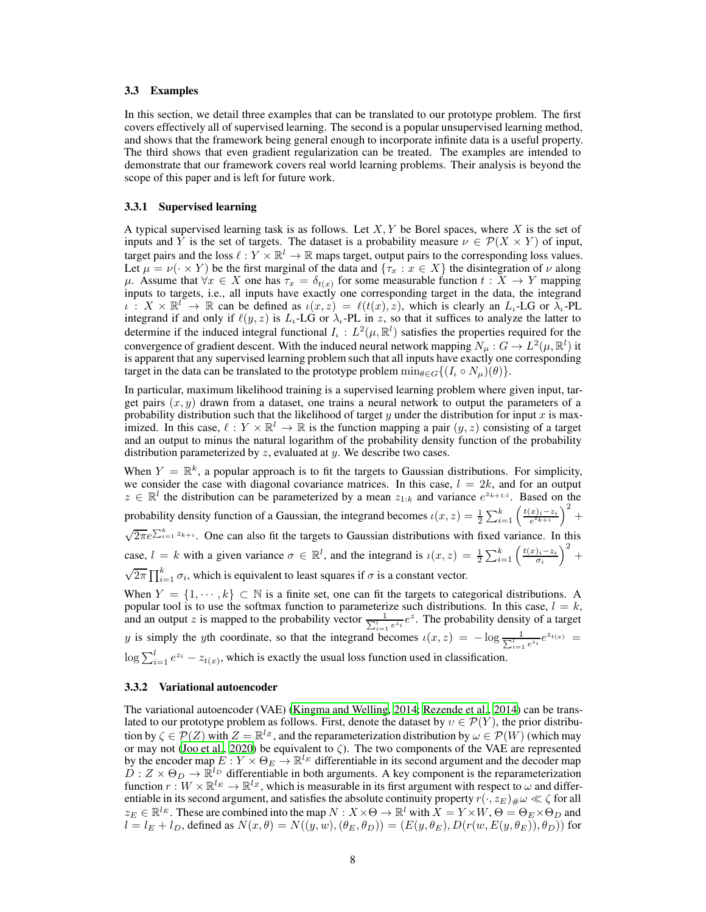#### <span id="page-7-0"></span>3.3 Examples

In this section, we detail three examples that can be translated to our prototype problem. The first covers effectively all of supervised learning. The second is a popular unsupervised learning method, and shows that the framework being general enough to incorporate infinite data is a useful property. The third shows that even gradient regularization can be treated. The examples are intended to demonstrate that our framework covers real world learning problems. Their analysis is beyond the scope of this paper and is left for future work.

#### 3.3.1 Supervised learning

A typical supervised learning task is as follows. Let  $X, Y$  be Borel spaces, where X is the set of inputs and Y is the set of targets. The dataset is a probability measure  $\nu \in \mathcal{P}(X \times Y)$  of input, target pairs and the loss  $\ell: Y \times \mathbb{R}^l \to \mathbb{R}$  maps target, output pairs to the corresponding loss values. Let  $\mu = \nu(\cdot \times Y)$  be the first marginal of the data and  $\{\tau_x : x \in X\}$  the disintegration of  $\nu$  along  $\mu$ . Assume that  $\forall x \in X$  one has  $\tau_x = \delta_{t(x)}$  for some measurable function  $t : X \to Y$  mapping inputs to targets, i.e., all inputs have exactly one corresponding target in the data, the integrand  $\iota: X \times \mathbb{R}^l \to \mathbb{R}$  can be defined as  $\iota(x, z) = \ell(t(x), z)$ , which is clearly an  $L_i$ -LG or  $\lambda_i$ -PL integrand if and only if  $\ell(y, z)$  is  $L<sub>t</sub>$ -LG or  $\lambda<sub>t</sub>$ -PL in z, so that it suffices to analyze the latter to determine if the induced integral functional  $I_t : L^2(\mu, \mathbb{R}^l)$  satisfies the properties required for the convergence of gradient descent. With the induced neural network mapping  $N_{\mu}: G \to L^2(\mu, \mathbb{R}^l)$  it is apparent that any supervised learning problem such that all inputs have exactly one corresponding target in the data can be translated to the prototype problem  $\min_{\theta \in G} \{ (I_\iota \circ N_\mu)(\theta) \}.$ 

In particular, maximum likelihood training is a supervised learning problem where given input, target pairs  $(x, y)$  drawn from a dataset, one trains a neural network to output the parameters of a probability distribution such that the likelihood of target y under the distribution for input x is maximized. In this case,  $\ell : Y \times \mathbb{R}^l \to \mathbb{R}$  is the function mapping a pair  $(y, z)$  consisting of a target and an output to minus the natural logarithm of the probability density function of the probability distribution parameterized by  $z$ , evaluated at  $y$ . We describe two cases.

When  $Y = \mathbb{R}^k$ , a popular approach is to fit the targets to Gaussian distributions. For simplicity, we consider the case with diagonal covariance matrices. In this case,  $l = 2k$ , and for an output  $z \in \mathbb{R}^l$  the distribution can be parameterized by a mean  $z_{1:k}$  and variance  $e^{z_{k+1:l}}$ . Based on the probability density function of a Gaussian, the integrand becomes  $\iota(x, z) = \frac{1}{2} \sum_{i=1}^{k} \left( \frac{t(x_i - z_i)}{e^{z_{k+i}}} \right)^2 +$  $\sqrt{2\pi}e^{\sum_{i=1}^{k}z_{k+i}}$ . One can also fit the targets to Gaussian distributions with fixed variance. In this case,  $l = k$  with a given variance  $\sigma \in \mathbb{R}^l$ , and the integrand is  $\iota(x, z) = \frac{1}{2} \sum_{i=1}^k \left( \frac{t(x_i - z_i}{\sigma_i})^2 + \cdots \right)$  $\sqrt{2\pi} \prod_{i=1}^{k} \sigma_i$ , which is equivalent to least squares if  $\sigma$  is a constant vector.

When  $Y = \{1, \dots, k\} \subset \mathbb{N}$  is a finite set, one can fit the targets to categorical distributions. A popular tool is to use the softmax function to parameterize such distributions. In this case,  $l = k$ , and an output z is mapped to the probability vector  $\frac{1}{\sum_{i=1}^{l} e^{z_i}}e^z$ . The probability density of a target y is simply the yth coordinate, so that the integrand becomes  $\iota(x, z) = -\log \frac{1}{\sum_{i=1}^{l} e^{z_i}} e^{z_{t(x)}} =$  $\log \sum_{i=1}^{l} e^{z_i} - z_{t(x)}$ , which is exactly the usual loss function used in classification.

#### 3.3.2 Variational autoencoder

The variational autoencoder (VAE) [\(Kingma and Welling, 2014;](#page-10-8) [Rezende et al.](#page-11-13), [2014\)](#page-11-13) can be translated to our prototype problem as follows. First, denote the dataset by  $v \in \mathcal{P}(Y)$ , the prior distribution by  $\zeta \in \mathcal{P}(Z)$  with  $Z = \mathbb{R}^{l_Z}$ , and the reparameterization distribution by  $\omega \in \mathcal{P}(W)$  (which may or may not [\(Joo et al., 2020](#page-10-9)) be equivalent to ζ). The two components of the VAE are represented by the encoder map  $E: Y \times \Theta_E \to \mathbb{R}^{l_E}$  differentiable in its second argument and the decoder map  $\overline{D}$  :  $Z \times \Theta_D \rightarrow \mathbb{R}^{l_D}$  differentiable in both arguments. A key component is the reparameterization function  $r: W \times \mathbb{R}^{l_E} \to \mathbb{R}^{l_Z}$ , which is measurable in its first argument with respect to  $\omega$  and differentiable in its second argument, and satisfies the absolute continuity property  $r(\cdot, z_E)_{\#}\omega \ll \zeta$  for all  $z_E \in \mathbb{R}^{l_E}$ . These are combined into the map  $N : X \times \Theta \to \mathbb{R}^l$  with  $X = Y \times W$ ,  $\Theta = \Theta_E \times \Theta_D$  and  $l = l_E + l_D$ , defined as  $N(x, \theta) = N((y, w), (\theta_E, \theta_D)) = (E(y, \theta_E), D(r(w, E(y, \theta_E)), \theta_D))$  for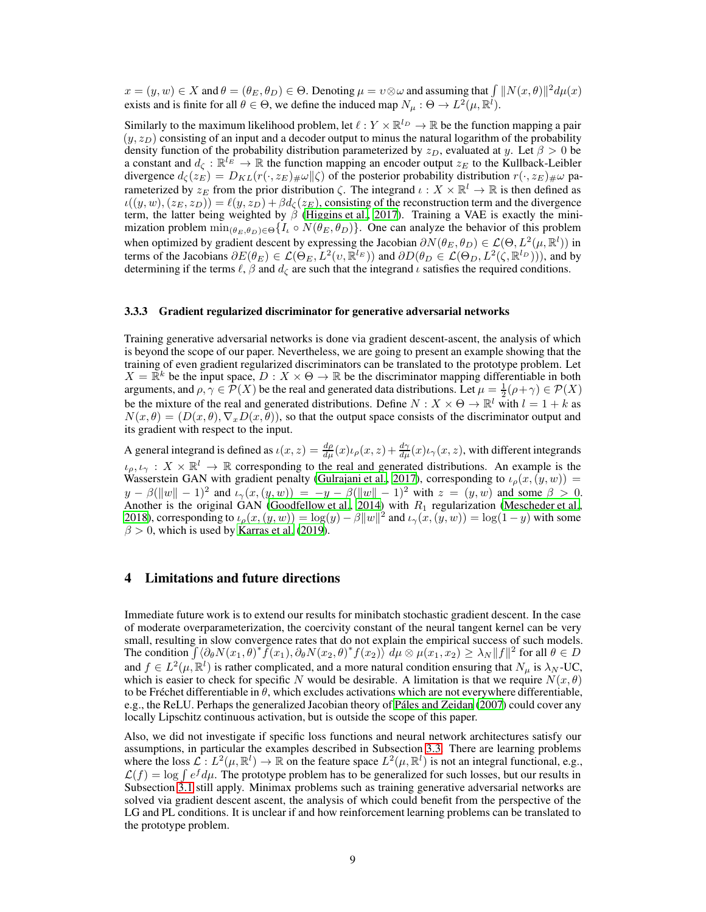$x = (y, w) \in X$  and  $\theta = (\theta_E, \theta_D) \in \Theta$ . Denoting  $\mu = v \otimes \omega$  and assuming that  $\int ||N(x, \theta)||^2 d\mu(x)$ exists and is finite for all  $\theta \in \Theta$ , we define the induced map  $N_{\mu} : \Theta \to L^2(\mu, \mathbb{R}^{\tilde{l}})$ .

Similarly to the maximum likelihood problem, let  $\ell : Y \times \mathbb{R}^{l_D} \to \mathbb{R}$  be the function mapping a pair  $(y, z_D)$  consisting of an input and a decoder output to minus the natural logarithm of the probability density function of the probability distribution parameterized by  $z_D$ , evaluated at y. Let  $\beta > 0$  be a constant and  $d_{\zeta}: \mathbb{R}^{l_E} \to \mathbb{R}$  the function mapping an encoder output  $z_E$  to the Kullback-Leibler divergence  $d_{\zeta}(z_E) = D_{KL}(r(\cdot, z_E)_{\#}\omega \| \zeta)$  of the posterior probability distribution  $r(\cdot, z_E)_{\#}\omega$  parameterized by  $z_{\mathcal{E}}$  from the prior distribution  $\zeta$ . The integrand  $\iota : X \times \mathbb{R}^l \to \mathbb{R}$  is then defined as  $u((y, w), (z_E, z_D)) = \ell(y, z_D) + \beta d_{\zeta}(z_E)$ , consisting of the reconstruction term and the divergence term, the latter being weighted by  $\beta$  [\(Higgins et al., 2017\)](#page-10-10). Training a VAE is exactly the minimization problem  $\min_{(\theta_E, \theta_D) \in \Theta} \{I_\iota \circ N(\theta_E, \theta_D)\}.$  One can analyze the behavior of this problem when optimized by gradient descent by expressing the Jacobian  $\partial N(\theta_E, \theta_D) \in \mathcal{L}(\Theta, L^2(\mu, \mathbb{R}^l))$  in terms of the Jacobians  $\partial E(\theta_E) \in \mathcal{L}(\Theta_E, L^2(\nu, \mathbb{R}^{l_E}))$  and  $\partial D(\theta_D \in \mathcal{L}(\Theta_D, L^2(\zeta, \mathbb{R}^{l_D})))$ , and by determining if the terms  $\ell$ ,  $\beta$  and  $d_{\zeta}$  are such that the integrand  $\iota$  satisfies the required conditions.

#### 3.3.3 Gradient regularized discriminator for generative adversarial networks

Training generative adversarial networks is done via gradient descent-ascent, the analysis of which is beyond the scope of our paper. Nevertheless, we are going to present an example showing that the training of even gradient regularized discriminators can be translated to the prototype problem. Let  $X = \mathbb{R}^k$  be the input space,  $D : X \times \Theta \to \mathbb{R}$  be the discriminator mapping differentiable in both arguments, and  $\rho, \gamma \in \mathcal{P}(X)$  be the real and generated data distributions. Let  $\mu = \frac{1}{2}(\rho + \gamma) \in \mathcal{P}(X)$ be the mixture of the real and generated distributions. Define  $N : X \times \Theta \to \mathbb{R}^l$  with  $l = 1 + k$  as  $N(x, \theta) = (D(x, \theta), \nabla_x D(x, \theta))$ , so that the output space consists of the discriminator output and its gradient with respect to the input.

A general integrand is defined as  $\iota(x, z) = \frac{d\rho}{d\mu}(x)\iota_{\rho}(x, z) + \frac{d\gamma}{d\mu}(x)\iota_{\gamma}(x, z)$ , with different integrands  $\iota_{\rho}, \iota_{\gamma}: X \times \mathbb{R}^l \to \mathbb{R}$  corresponding to the real and generated distributions. An example is the Wasserstein GAN with gradient penalty [\(Gulrajani et al.](#page-10-11), [2017\)](#page-10-11), corresponding to  $\iota_{\rho}(x,(y,w))$  =  $y - \beta(||w|| - 1)^2$  and  $\iota_\gamma(x, (y, w)) = -y - \beta(||w|| - 1)^2$  with  $z = (y, w)$  and some  $\beta > 0$ . Another is the original GAN [\(Goodfellow et al., 2014\)](#page-10-12) with  $R_1$  regularization [\(Mescheder et al.,](#page-11-14) [2018\)](#page-11-14), corresponding to  $\iota_{\rho}(x,(y,w)) = \log(y) - \beta \|w\|^2$  and  $\iota_{\gamma}(x,(y,w)) = \log(1-y)$  with some  $\beta$  > 0, which is used by [Karras et al. \(2019\)](#page-10-13).

## <span id="page-8-0"></span>4 Limitations and future directions

Immediate future work is to extend our results for minibatch stochastic gradient descent. In the case of moderate overparameterization, the coercivity constant of the neural tangent kernel can be very small, resulting in slow convergence rates that do not explain the empirical success of such models. The condition  $\int \langle \partial_{\theta} N(x_1, \theta)^* \tilde{f}(x_1), \partial_{\theta} N(x_2, \theta)^* f(x_2) \rangle d\mu \otimes \mu(x_1, x_2) \geq \lambda_N ||f||^2$  for all  $\theta \in D$ and  $f \in L^2(\mu, \mathbb{R}^l)$  is rather complicated, and a more natural condition ensuring that  $N_\mu$  is  $\lambda_N$ -UC, which is easier to check for specific N would be desirable. A limitation is that we require  $N(x, \theta)$ to be Fréchet differentiable in  $\theta$ , which excludes activations which are not everywhere differentiable, e.g., the ReLU. Perhaps the generalized Jacobian theory of [Páles and Zeidan \(2007](#page-11-15)) could cover any locally Lipschitz continuous activation, but is outside the scope of this paper.

Also, we did not investigate if specific loss functions and neural network architectures satisfy our assumptions, in particular the examples described in Subsection [3.3.](#page-7-0) There are learning problems where the loss  $\mathcal{L}: L^2(\mu, \mathbb{R}^l) \to \mathbb{R}$  on the feature space  $L^2(\mu, \mathbb{R}^l)$  is not an integral functional, e.g.,  $\mathcal{L}(f) = \log \int e^f d\mu$ . The prototype problem has to be generalized for such losses, but our results in Subsection [3.1](#page-4-0) still apply. Minimax problems such as training generative adversarial networks are solved via gradient descent ascent, the analysis of which could benefit from the perspective of the LG and PL conditions. It is unclear if and how reinforcement learning problems can be translated to the prototype problem.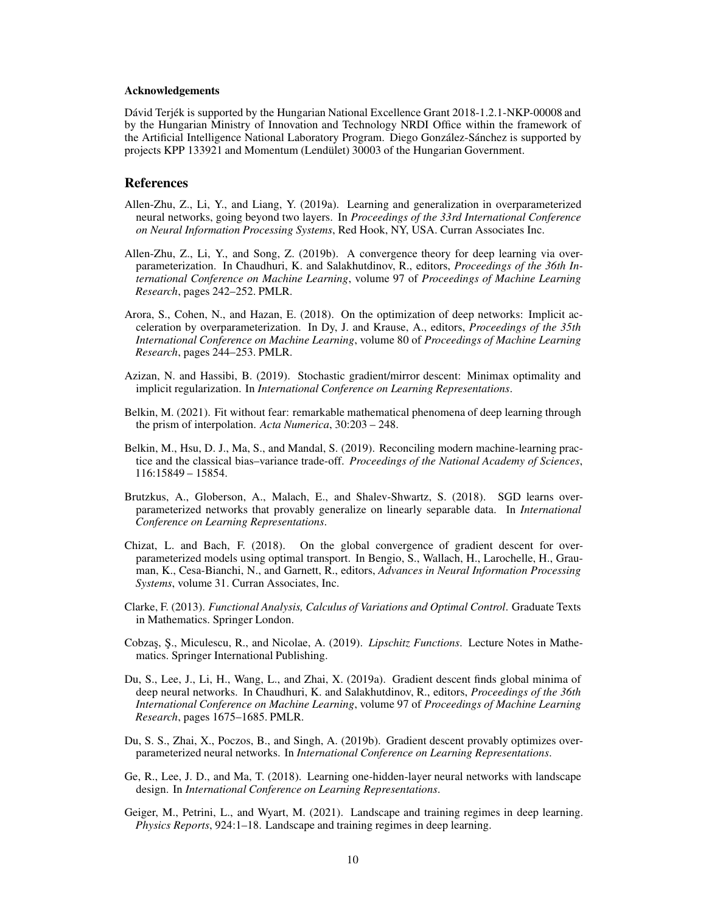#### Acknowledgements

Dávid Terjék is supported by the Hungarian National Excellence Grant 2018-1.2.1-NKP-00008 and by the Hungarian Ministry of Innovation and Technology NRDI Office within the framework of the Artificial Intelligence National Laboratory Program. Diego González-Sánchez is supported by projects KPP 133921 and Momentum (Lendület) 30003 of the Hungarian Government.

# References

- <span id="page-9-10"></span>Allen-Zhu, Z., Li, Y., and Liang, Y. (2019a). Learning and generalization in overparameterized neural networks, going beyond two layers. In *Proceedings of the 33rd International Conference on Neural Information Processing Systems*, Red Hook, NY, USA. Curran Associates Inc.
- <span id="page-9-7"></span>Allen-Zhu, Z., Li, Y., and Song, Z. (2019b). A convergence theory for deep learning via overparameterization. In Chaudhuri, K. and Salakhutdinov, R., editors, *Proceedings of the 36th International Conference on Machine Learning*, volume 97 of *Proceedings of Machine Learning Research*, pages 242–252. PMLR.
- <span id="page-9-2"></span>Arora, S., Cohen, N., and Hazan, E. (2018). On the optimization of deep networks: Implicit acceleration by overparameterization. In Dy, J. and Krause, A., editors, *Proceedings of the 35th International Conference on Machine Learning*, volume 80 of *Proceedings of Machine Learning Research*, pages 244–253. PMLR.
- <span id="page-9-8"></span>Azizan, N. and Hassibi, B. (2019). Stochastic gradient/mirror descent: Minimax optimality and implicit regularization. In *International Conference on Learning Representations*.
- <span id="page-9-0"></span>Belkin, M. (2021). Fit without fear: remarkable mathematical phenomena of deep learning through the prism of interpolation. *Acta Numerica*, 30:203 – 248.
- <span id="page-9-1"></span>Belkin, M., Hsu, D. J., Ma, S., and Mandal, S. (2019). Reconciling modern machine-learning practice and the classical bias–variance trade-off. *Proceedings of the National Academy of Sciences*, 116:15849 – 15854.
- <span id="page-9-3"></span>Brutzkus, A., Globerson, A., Malach, E., and Shalev-Shwartz, S. (2018). SGD learns overparameterized networks that provably generalize on linearly separable data. In *International Conference on Learning Representations*.
- <span id="page-9-4"></span>Chizat, L. and Bach, F. (2018). On the global convergence of gradient descent for overparameterized models using optimal transport. In Bengio, S., Wallach, H., Larochelle, H., Grauman, K., Cesa-Bianchi, N., and Garnett, R., editors, *Advances in Neural Information Processing Systems*, volume 31. Curran Associates, Inc.
- <span id="page-9-13"></span>Clarke, F. (2013). *Functional Analysis, Calculus of Variations and Optimal Control*. Graduate Texts in Mathematics. Springer London.
- <span id="page-9-12"></span>Cobzaş, Ş., Miculescu, R., and Nicolae, A. (2019). *Lipschitz Functions*. Lecture Notes in Mathematics. Springer International Publishing.
- <span id="page-9-9"></span>Du, S., Lee, J., Li, H., Wang, L., and Zhai, X. (2019a). Gradient descent finds global minima of deep neural networks. In Chaudhuri, K. and Salakhutdinov, R., editors, *Proceedings of the 36th International Conference on Machine Learning*, volume 97 of *Proceedings of Machine Learning Research*, pages 1675–1685. PMLR.
- <span id="page-9-6"></span>Du, S. S., Zhai, X., Poczos, B., and Singh, A. (2019b). Gradient descent provably optimizes overparameterized neural networks. In *International Conference on Learning Representations*.
- <span id="page-9-5"></span>Ge, R., Lee, J. D., and Ma, T. (2018). Learning one-hidden-layer neural networks with landscape design. In *International Conference on Learning Representations*.
- <span id="page-9-11"></span>Geiger, M., Petrini, L., and Wyart, M. (2021). Landscape and training regimes in deep learning. *Physics Reports*, 924:1–18. Landscape and training regimes in deep learning.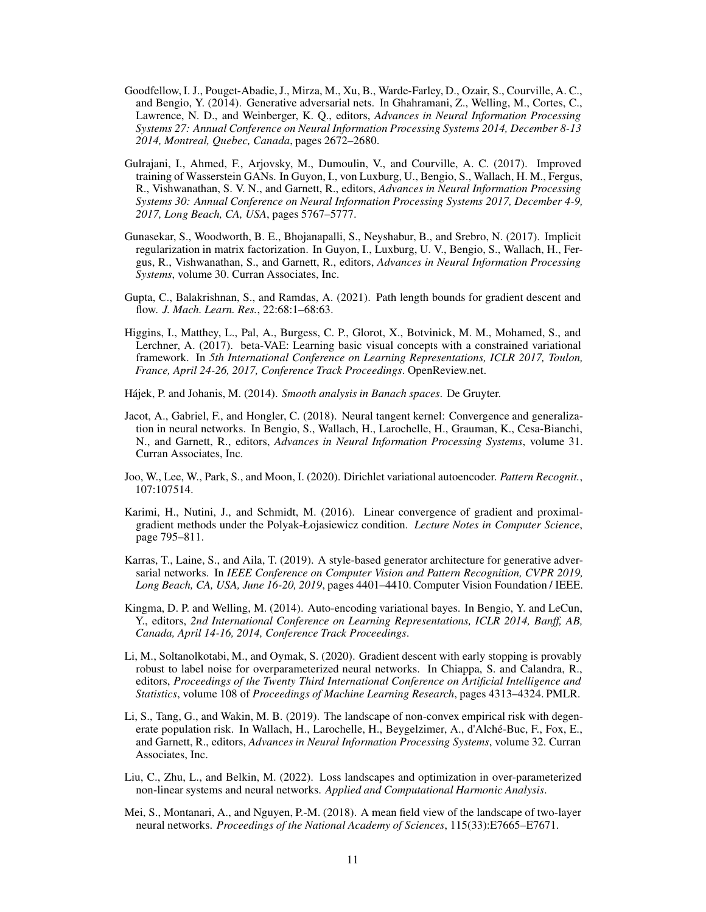- <span id="page-10-12"></span>Goodfellow, I. J., Pouget-Abadie, J., Mirza, M., Xu, B., Warde-Farley, D., Ozair, S., Courville, A. C., and Bengio, Y. (2014). Generative adversarial nets. In Ghahramani, Z., Welling, M., Cortes, C., Lawrence, N. D., and Weinberger, K. Q., editors, *Advances in Neural Information Processing Systems 27: Annual Conference on Neural Information Processing Systems 2014, December 8-13 2014, Montreal, Quebec, Canada*, pages 2672–2680.
- <span id="page-10-11"></span>Gulrajani, I., Ahmed, F., Arjovsky, M., Dumoulin, V., and Courville, A. C. (2017). Improved training of Wasserstein GANs. In Guyon, I., von Luxburg, U., Bengio, S., Wallach, H. M., Fergus, R., Vishwanathan, S. V. N., and Garnett, R., editors, *Advances in Neural Information Processing Systems 30: Annual Conference on Neural Information Processing Systems 2017, December 4-9, 2017, Long Beach, CA, USA*, pages 5767–5777.
- <span id="page-10-3"></span>Gunasekar, S., Woodworth, B. E., Bhojanapalli, S., Neyshabur, B., and Srebro, N. (2017). Implicit regularization in matrix factorization. In Guyon, I., Luxburg, U. V., Bengio, S., Wallach, H., Fergus, R., Vishwanathan, S., and Garnett, R., editors, *Advances in Neural Information Processing Systems*, volume 30. Curran Associates, Inc.
- <span id="page-10-7"></span>Gupta, C., Balakrishnan, S., and Ramdas, A. (2021). Path length bounds for gradient descent and flow. *J. Mach. Learn. Res.*, 22:68:1–68:63.
- <span id="page-10-10"></span>Higgins, I., Matthey, L., Pal, A., Burgess, C. P., Glorot, X., Botvinick, M. M., Mohamed, S., and Lerchner, A. (2017). beta-VAE: Learning basic visual concepts with a constrained variational framework. In *5th International Conference on Learning Representations, ICLR 2017, Toulon, France, April 24-26, 2017, Conference Track Proceedings*. OpenReview.net.
- <span id="page-10-14"></span>Hájek, P. and Johanis, M. (2014). *Smooth analysis in Banach spaces*. De Gruyter.
- <span id="page-10-2"></span>Jacot, A., Gabriel, F., and Hongler, C. (2018). Neural tangent kernel: Convergence and generalization in neural networks. In Bengio, S., Wallach, H., Larochelle, H., Grauman, K., Cesa-Bianchi, N., and Garnett, R., editors, *Advances in Neural Information Processing Systems*, volume 31. Curran Associates, Inc.
- <span id="page-10-9"></span>Joo, W., Lee, W., Park, S., and Moon, I. (2020). Dirichlet variational autoencoder. *Pattern Recognit.*, 107:107514.
- <span id="page-10-1"></span>Karimi, H., Nutini, J., and Schmidt, M. (2016). Linear convergence of gradient and proximalgradient methods under the Polyak-Łojasiewicz condition. *Lecture Notes in Computer Science*, page 795–811.
- <span id="page-10-13"></span>Karras, T., Laine, S., and Aila, T. (2019). A style-based generator architecture for generative adversarial networks. In *IEEE Conference on Computer Vision and Pattern Recognition, CVPR 2019, Long Beach, CA, USA, June 16-20, 2019*, pages 4401–4410. Computer Vision Foundation / IEEE.
- <span id="page-10-8"></span>Kingma, D. P. and Welling, M. (2014). Auto-encoding variational bayes. In Bengio, Y. and LeCun, Y., editors, *2nd International Conference on Learning Representations, ICLR 2014, Banff, AB, Canada, April 14-16, 2014, Conference Track Proceedings*.
- <span id="page-10-5"></span>Li, M., Soltanolkotabi, M., and Oymak, S. (2020). Gradient descent with early stopping is provably robust to label noise for overparameterized neural networks. In Chiappa, S. and Calandra, R., editors, *Proceedings of the Twenty Third International Conference on Artificial Intelligence and Statistics*, volume 108 of *Proceedings of Machine Learning Research*, pages 4313–4324. PMLR.
- <span id="page-10-6"></span>Li, S., Tang, G., and Wakin, M. B. (2019). The landscape of non-convex empirical risk with degenerate population risk. In Wallach, H., Larochelle, H., Beygelzimer, A., d'Alché-Buc, F., Fox, E., and Garnett, R., editors, *Advances in Neural Information Processing Systems*, volume 32. Curran Associates, Inc.
- <span id="page-10-0"></span>Liu, C., Zhu, L., and Belkin, M. (2022). Loss landscapes and optimization in over-parameterized non-linear systems and neural networks. *Applied and Computational Harmonic Analysis*.
- <span id="page-10-4"></span>Mei, S., Montanari, A., and Nguyen, P.-M. (2018). A mean field view of the landscape of two-layer neural networks. *Proceedings of the National Academy of Sciences*, 115(33):E7665–E7671.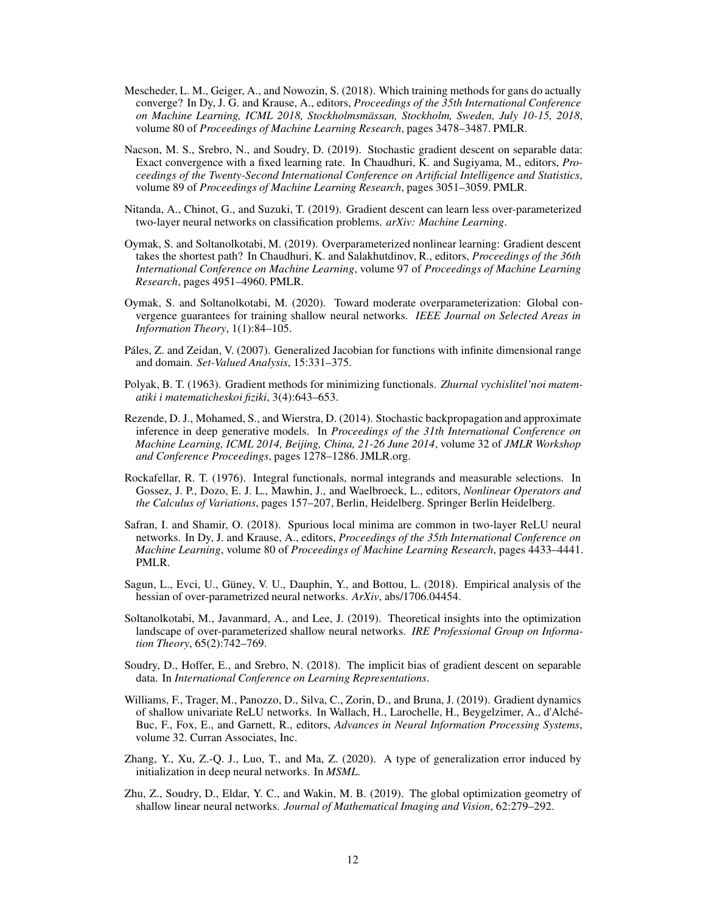- <span id="page-11-14"></span>Mescheder, L. M., Geiger, A., and Nowozin, S. (2018). Which training methods for gans do actually converge? In Dy, J. G. and Krause, A., editors, *Proceedings of the 35th International Conference on Machine Learning, ICML 2018, Stockholmsmässan, Stockholm, Sweden, July 10-15, 2018*, volume 80 of *Proceedings of Machine Learning Research*, pages 3478–3487. PMLR.
- <span id="page-11-3"></span>Nacson, M. S., Srebro, N., and Soudry, D. (2019). Stochastic gradient descent on separable data: Exact convergence with a fixed learning rate. In Chaudhuri, K. and Sugiyama, M., editors, *Proceedings of the Twenty-Second International Conference on Artificial Intelligence and Statistics*, volume 89 of *Proceedings of Machine Learning Research*, pages 3051–3059. PMLR.
- <span id="page-11-6"></span>Nitanda, A., Chinot, G., and Suzuki, T. (2019). Gradient descent can learn less over-parameterized two-layer neural networks on classification problems. *arXiv: Machine Learning*.
- <span id="page-11-0"></span>Oymak, S. and Soltanolkotabi, M. (2019). Overparameterized nonlinear learning: Gradient descent takes the shortest path? In Chaudhuri, K. and Salakhutdinov, R., editors, *Proceedings of the 36th International Conference on Machine Learning*, volume 97 of *Proceedings of Machine Learning Research*, pages 4951–4960. PMLR.
- <span id="page-11-9"></span>Oymak, S. and Soltanolkotabi, M. (2020). Toward moderate overparameterization: Global convergence guarantees for training shallow neural networks. *IEEE Journal on Selected Areas in Information Theory*, 1(1):84–105.
- <span id="page-11-15"></span>Páles, Z. and Zeidan, V. (2007). Generalized Jacobian for functions with infinite dimensional range and domain. *Set-Valued Analysis*, 15:331–375.
- <span id="page-11-1"></span>Polyak, B. T. (1963). Gradient methods for minimizing functionals. *Zhurnal vychislitel'noi matematiki i matematicheskoi fiziki*, 3(4):643–653.
- <span id="page-11-13"></span>Rezende, D. J., Mohamed, S., and Wierstra, D. (2014). Stochastic backpropagation and approximate inference in deep generative models. In *Proceedings of the 31th International Conference on Machine Learning, ICML 2014, Beijing, China, 21-26 June 2014*, volume 32 of *JMLR Workshop and Conference Proceedings*, pages 1278–1286. JMLR.org.
- <span id="page-11-12"></span>Rockafellar, R. T. (1976). Integral functionals, normal integrands and measurable selections. In Gossez, J. P., Dozo, E. J. L., Mawhin, J., and Waelbroeck, L., editors, *Nonlinear Operators and the Calculus of Variations*, pages 157–207, Berlin, Heidelberg. Springer Berlin Heidelberg.
- <span id="page-11-5"></span>Safran, I. and Shamir, O. (2018). Spurious local minima are common in two-layer ReLU neural networks. In Dy, J. and Krause, A., editors, *Proceedings of the 35th International Conference on Machine Learning*, volume 80 of *Proceedings of Machine Learning Research*, pages 4433–4441. PMLR.
- <span id="page-11-10"></span>Sagun, L., Evci, U., Güney, V. U., Dauphin, Y., and Bottou, L. (2018). Empirical analysis of the hessian of over-parametrized neural networks. *ArXiv*, abs/1706.04454.
- <span id="page-11-8"></span>Soltanolkotabi, M., Javanmard, A., and Lee, J. (2019). Theoretical insights into the optimization landscape of over-parameterized shallow neural networks. *IRE Professional Group on Information Theory*, 65(2):742–769.
- <span id="page-11-2"></span>Soudry, D., Hoffer, E., and Srebro, N. (2018). The implicit bias of gradient descent on separable data. In *International Conference on Learning Representations*.
- <span id="page-11-7"></span>Williams, F., Trager, M., Panozzo, D., Silva, C., Zorin, D., and Bruna, J. (2019). Gradient dynamics of shallow univariate ReLU networks. In Wallach, H., Larochelle, H., Beygelzimer, A., d'Alché-Buc, F., Fox, E., and Garnett, R., editors, *Advances in Neural Information Processing Systems*, volume 32. Curran Associates, Inc.
- <span id="page-11-11"></span>Zhang, Y., Xu, Z.-Q. J., Luo, T., and Ma, Z. (2020). A type of generalization error induced by initialization in deep neural networks. In *MSML*.
- <span id="page-11-4"></span>Zhu, Z., Soudry, D., Eldar, Y. C., and Wakin, M. B. (2019). The global optimization geometry of shallow linear neural networks. *Journal of Mathematical Imaging and Vision*, 62:279–292.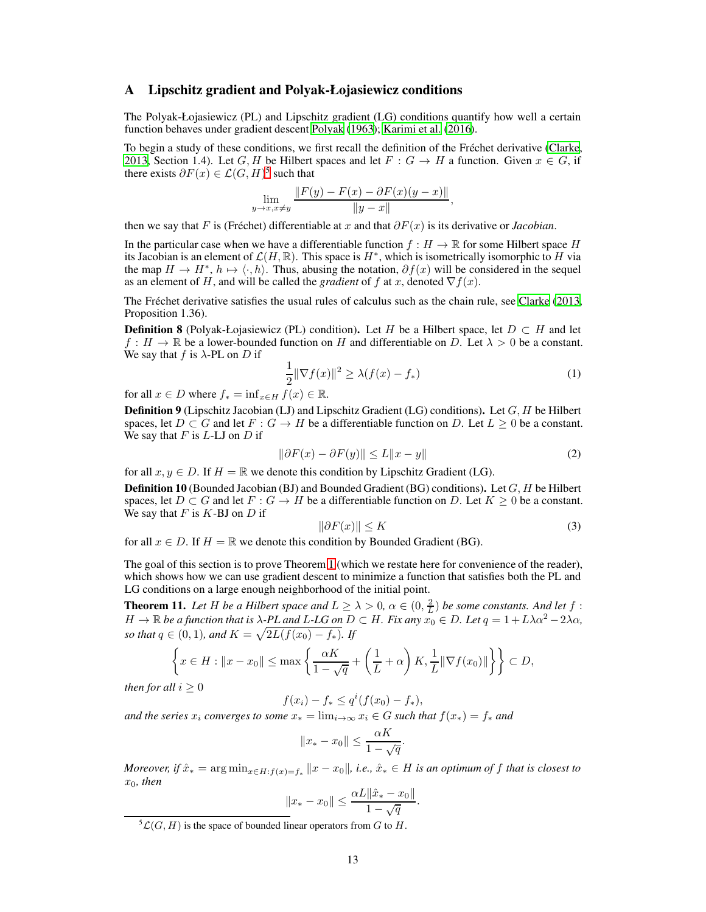### <span id="page-12-0"></span>A Lipschitz gradient and Polyak-Łojasiewicz conditions

The Polyak-Łojasiewicz (PL) and Lipschitz gradient (LG) conditions quantify how well a certain function behaves under gradient descent [Polyak \(1963\)](#page-11-1); [Karimi et al.](#page-10-1) [\(2016\)](#page-10-1).

To begin a study of these conditions, we first recall the definition of the Fréchet derivative [\(Clarke,](#page-9-13) [2013,](#page-9-13) Section 1.4). Let G, H be Hilbert spaces and let  $F : G \to H$  a function. Given  $x \in G$ , if there exists  $\partial F(x) \in \mathcal{L}(G, H)^5$  $\partial F(x) \in \mathcal{L}(G, H)^5$  such that

$$
\lim_{y \to x, x \neq y} \frac{\|F(y) - F(x) - \partial F(x)(y - x)\|}{\|y - x\|},
$$

then we say that F is (Fréchet) differentiable at x and that  $\partial F(x)$  is its derivative or *Jacobian*.

In the particular case when we have a differentiable function  $f : H \to \mathbb{R}$  for some Hilbert space H its Jacobian is an element of  $\mathcal{L}(H,\mathbb{R})$ . This space is  $H^*$ , which is isometrically isomorphic to H via the map  $H \to H^*$ ,  $h \mapsto \langle \cdot, h \rangle$ . Thus, abusing the notation,  $\partial f(x)$  will be considered in the sequel as an element of H, and will be called the *gradient* of f at x, denoted  $\nabla f(x)$ .

The Fréchet derivative satisfies the usual rules of calculus such as the chain rule, see [Clarke \(2013,](#page-9-13) Proposition 1.36).

<span id="page-12-3"></span>**Definition 8** (Polyak-Łojasiewicz (PL) condition). Let H be a Hilbert space, let  $D \subset H$  and let  $f : H \to \mathbb{R}$  be a lower-bounded function on H and differentiable on D. Let  $\lambda > 0$  be a constant. We say that f is  $\lambda$ -PL on D if

$$
\frac{1}{2} \|\nabla f(x)\|^2 \ge \lambda (f(x) - f_*)\tag{1}
$$

for all  $x \in D$  where  $f_* = \inf_{x \in H} f(x) \in \mathbb{R}$ .

<span id="page-12-4"></span>**Definition 9** (Lipschitz Jacobian (LJ) and Lipschitz Gradient (LG) conditions). Let  $G$ ,  $H$  be Hilbert spaces, let  $D \subset G$  and let  $F : G \to H$  be a differentiable function on D. Let  $L \geq 0$  be a constant. We say that  $F$  is  $L$ -LJ on  $D$  if

$$
\|\partial F(x) - \partial F(y)\| \le L\|x - y\| \tag{2}
$$

for all  $x, y \in D$ . If  $H = \mathbb{R}$  we denote this condition by Lipschitz Gradient (LG).

**Definition 10** (Bounded Jacobian (BJ) and Bounded Gradient (BG) conditions). Let  $G$ ,  $H$  be Hilbert spaces, let  $D \subset G$  and let  $F : G \to H$  be a differentiable function on D. Let  $K \geq 0$  be a constant. We say that  $F$  is  $K$ -BJ on  $D$  if

$$
\|\partial F(x)\| \le K\tag{3}
$$

for all  $x \in D$ . If  $H = \mathbb{R}$  we denote this condition by Bounded Gradient (BG).

The goal of this section is to prove Theorem [1](#page-3-1) (which we restate here for convenience of the reader), which shows how we can use gradient descent to minimize a function that satisfies both the PL and LG conditions on a large enough neighborhood of the initial point.

<span id="page-12-2"></span>**Theorem 11.** Let H be a Hilbert space and  $L \ge \lambda > 0$ ,  $\alpha \in (0, \frac{2}{L})$  be some constants. And let f:  $H \to \mathbb{R}$  *be a function that is*  $\lambda$ -*PL and L-LG on*  $D \subset H$ *. Fix any*  $x_0 \in D$ *. Let*  $q = 1 + L\lambda\alpha^2 - 2\lambda\alpha$ , *so that*  $q \in (0, 1)$ *, and*  $K = \sqrt{2L(f(x_0) - f_*)}$ *. If* 

$$
\left\{ x \in H : \|x - x_0\| \le \max\left\{ \frac{\alpha K}{1 - \sqrt{q}} + \left(\frac{1}{L} + \alpha\right)K, \frac{1}{L} \|\nabla f(x_0)\| \right\} \right\} \subset D,
$$

*then for all*  $i > 0$ 

 $f(x_i) - f_* \leq q^i(f(x_0) - f_*),$ 

*and the series*  $x_i$  *converges to some*  $x_* = \lim_{i \to \infty} x_i \in G$  *such that*  $f(x_*) = f_*$  *and* 

$$
||x_* - x_0|| \le \frac{\alpha K}{1 - \sqrt{q}}.
$$

*Moreover, if*  $\hat{x}_* = \arg \min_{x \in H : f(x) = f_*} ||x - x_0||$ , *i.e.,*  $\hat{x}_* \in H$  *is an optimum of* f *that is closest to*  $x_0$ , then

$$
||x_* - x_0|| \le \frac{\alpha L ||\hat{x}_* - x_0||}{1 - \sqrt{q}}.
$$

<span id="page-12-1"></span> ${}^5{\cal L}(G, H)$  is the space of bounded linear operators from G to H.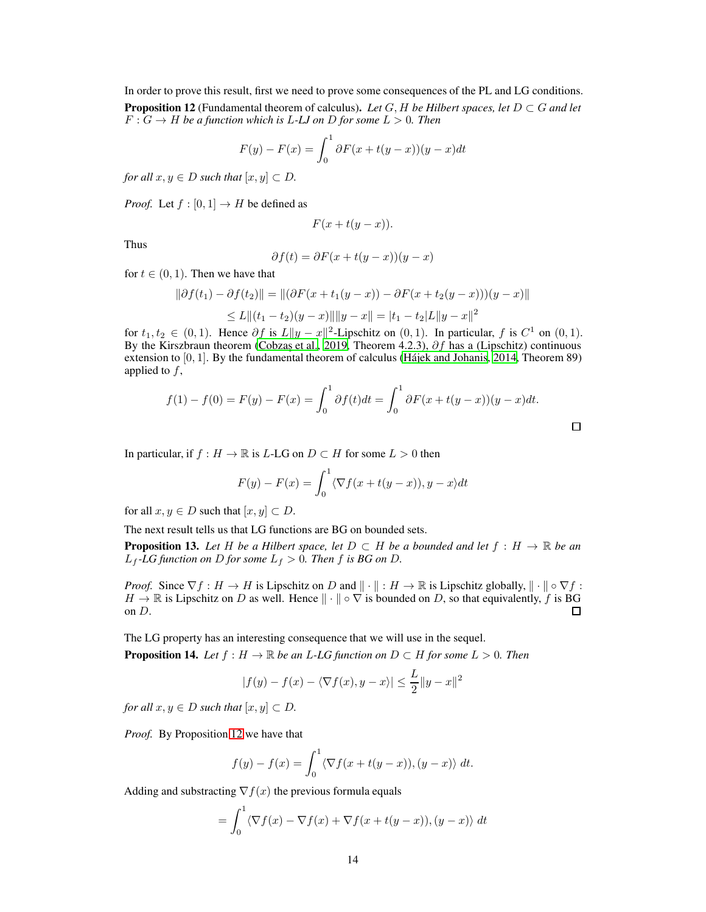<span id="page-13-0"></span>In order to prove this result, first we need to prove some consequences of the PL and LG conditions. **Proposition 12** (Fundamental theorem of calculus). Let  $G$ ,  $H$  be Hilbert spaces, let  $D \subset G$  and let  $F: G \to H$  *be a function which is L-LJ on D for some L* > 0*. Then* 

$$
F(y) - F(x) = \int_0^1 \partial F(x + t(y - x))(y - x)dt
$$

*for all*  $x, y \in D$  *such that*  $[x, y] \subset D$ .

*Proof.* Let  $f : [0, 1] \rightarrow H$  be defined as

$$
F(x+t(y-x)).
$$

Thus

$$
\partial f(t) = \partial F(x + t(y - x))(y - x)
$$

for  $t \in (0, 1)$ . Then we have that

$$
\|\partial f(t_1) - \partial f(t_2)\| = \|(\partial F(x + t_1(y - x)) - \partial F(x + t_2(y - x)))(y - x)\|
$$
  
\n
$$
\leq L \|(t_1 - t_2)(y - x)\| \|y - x\| = |t_1 - t_2|L\|y - x\|^2
$$

for  $t_1, t_2 \in (0, 1)$ . Hence  $\partial f$  is  $L \|y - x\|^2$ -Lipschitz on  $(0, 1)$ . In particular, f is  $C^1$  on  $(0, 1)$ . By the Kirszbraun theorem (Cobzaş et al., 2019, Theorem 4.2.3),  $\partial f$  has a (Lipschitz) continuous extension to [0, 1]. By the fundamental theorem of calculus [\(Hájek and Johanis](#page-10-14), [2014,](#page-10-14) Theorem 89) applied to f,

$$
f(1) - f(0) = F(y) - F(x) = \int_0^1 \partial f(t)dt = \int_0^1 \partial F(x + t(y - x))(y - x)dt.
$$

In particular, if  $f : H \to \mathbb{R}$  is L-LG on  $D \subset H$  for some  $L > 0$  then

$$
F(y) - F(x) = \int_0^1 \langle \nabla f(x + t(y - x)), y - x \rangle dt
$$

for all  $x, y \in D$  such that  $[x, y] \subset D$ .

The next result tells us that LG functions are BG on bounded sets.

<span id="page-13-2"></span>**Proposition 13.** Let H be a Hilbert space, let  $D \subset H$  be a bounded and let  $f : H \to \mathbb{R}$  be an  $L_f$ -LG function on D for some  $L_f > 0$ . Then f is BG on D.

*Proof.* Since  $\nabla f : H \to H$  is Lipschitz on D and  $\|\cdot\| : H \to \mathbb{R}$  is Lipschitz globally,  $\|\cdot\| \circ \nabla f$ :  $H \to \mathbb{R}$  is Lipschitz on D as well. Hence  $\|\cdot\| \circ \nabla$  is bounded on D, so that equivalently, f is BG on D. on D.

The LG property has an interesting consequence that we will use in the sequel.

<span id="page-13-1"></span>**Proposition 14.** *Let*  $f : H \to \mathbb{R}$  *be an L-LG function on*  $D \subset H$  *for some*  $L > 0$ *. Then* 

$$
|f(y) - f(x) - \langle \nabla f(x), y - x \rangle| \le \frac{L}{2} ||y - x||^2
$$

*for all*  $x, y \in D$  *such that*  $[x, y] \subset D$ .

*Proof.* By Proposition [12](#page-13-0) we have that

$$
f(y) - f(x) = \int_0^1 \langle \nabla f(x + t(y - x)), (y - x) \rangle dt.
$$

Adding and substracting  $\nabla f(x)$  the previous formula equals

$$
= \int_0^1 \langle \nabla f(x) - \nabla f(x) + \nabla f(x + t(y - x)), (y - x) \rangle dt
$$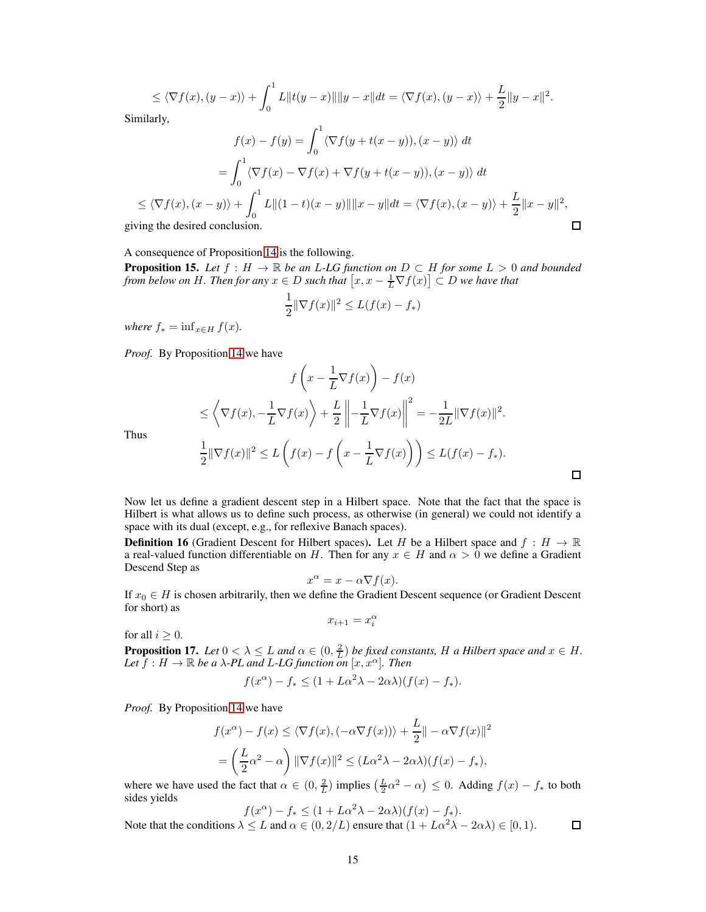$$
\leq \langle \nabla f(x), (y-x) \rangle + \int_0^1 L \|f(y-x)\| \|y-x\| dt = \langle \nabla f(x), (y-x) \rangle + \frac{L}{2} \|y-x\|^2.
$$

Similarly,

$$
f(x) - f(y) = \int_0^1 \langle \nabla f(y + t(x - y)), (x - y) \rangle dt
$$
  
\n
$$
= \int_0^1 \langle \nabla f(x) - \nabla f(x) + \nabla f(y + t(x - y)), (x - y) \rangle dt
$$
  
\n
$$
\leq \langle \nabla f(x), (x - y) \rangle + \int_0^1 L ||(1 - t)(x - y)|| ||x - y|| dt = \langle \nabla f(x), (x - y) \rangle + \frac{L}{2} ||x - y||^2,
$$
  
\n
$$
\Box
$$
  
\n
$$
\Box
$$

giving the desired conclusi

A consequence of Proposition [14](#page-13-1) is the following.

<span id="page-14-0"></span>**Proposition 15.** Let  $f : H \to \mathbb{R}$  be an L-LG function on  $D \subset H$  for some  $L > 0$  and bounded *from below on H. Then for any*  $x \in D$  *such that*  $[x, x - \frac{1}{L} \nabla f(x)] \subset D$  *we have that* 

$$
\frac{1}{2} \|\nabla f(x)\|^2 \le L(f(x) - f_*)
$$

*where*  $f_* = \inf_{x \in H} f(x)$ *.* 

*Proof.* By Proposition [14](#page-13-1) we have

$$
f\left(x - \frac{1}{L}\nabla f(x)\right) - f(x)
$$
  
\n
$$
\leq \left\langle \nabla f(x), -\frac{1}{L}\nabla f(x) \right\rangle + \frac{L}{2} \left\| -\frac{1}{L}\nabla f(x) \right\|^2 = -\frac{1}{2L} \|\nabla f(x)\|^2.
$$
  
\n
$$
\frac{1}{2} \|\nabla f(x)\|^2 \leq L \left(f(x) - f\left(x - \frac{1}{L}\nabla f(x)\right)\right) \leq L(f(x) - f_*).
$$

 $\Box$ 

Thus

Now let us define a gradient descent step in a Hilbert space. Note that the fact that the space is Hilbert is what allows us to define such process, as otherwise (in general) we could not identify a space with its dual (except, e.g., for reflexive Banach spaces).

**Definition 16** (Gradient Descent for Hilbert spaces). Let H be a Hilbert space and  $f : H \to \mathbb{R}$ a real-valued function differentiable on H. Then for any  $x \in H$  and  $\alpha > 0$  we define a Gradient Descend Step as

$$
x^{\alpha} = x - \alpha \nabla f(x).
$$

If  $x_0 \in H$  is chosen arbitrarily, then we define the Gradient Descent sequence (or Gradient Descent for short) as

$$
x_{i+1} = x_i^{\alpha}
$$

for all  $i \geq 0$ .

<span id="page-14-1"></span>**Proposition 17.** Let  $0 < \lambda \leq L$  and  $\alpha \in (0, \frac{2}{L})$  be fixed constants, H a Hilbert space and  $x \in H$ . *Let*  $f : H \to \mathbb{R}$  *be a*  $\lambda$ -*PL and L-LG function on*  $[x, x^{\alpha}]$ *. Then* 

$$
f(x^{\alpha}) - f_{*} \le (1 + L\alpha^{2}\lambda - 2\alpha\lambda)(f(x) - f_{*}).
$$

*Proof.* By Proposition [14](#page-13-1) we have

$$
f(x^{\alpha}) - f(x) \le \langle \nabla f(x), (-\alpha \nabla f(x)) \rangle + \frac{L}{2} || - \alpha \nabla f(x) ||^2
$$
  
=  $\left( \frac{L}{2} \alpha^2 - \alpha \right) ||\nabla f(x)||^2 \le (L\alpha^2 \lambda - 2\alpha \lambda)(f(x) - f_*)$ ,

where we have used the fact that  $\alpha \in (0, \frac{2}{L})$  implies  $(\frac{L}{2}\alpha^2 - \alpha) \leq 0$ . Adding  $f(x) - f_*$  to both sides yields

$$
f(x^{\alpha}) - f_{*} \le (1 + L\alpha^{2}\lambda - 2\alpha\lambda)(f(x) - f_{*}).
$$

Note that the conditions  $\lambda \leq L$  and  $\alpha \in (0, 2/L)$  ensure that  $(1 + L\alpha^2 \lambda - 2\alpha \lambda) \in [0, 1)$ .  $\Box$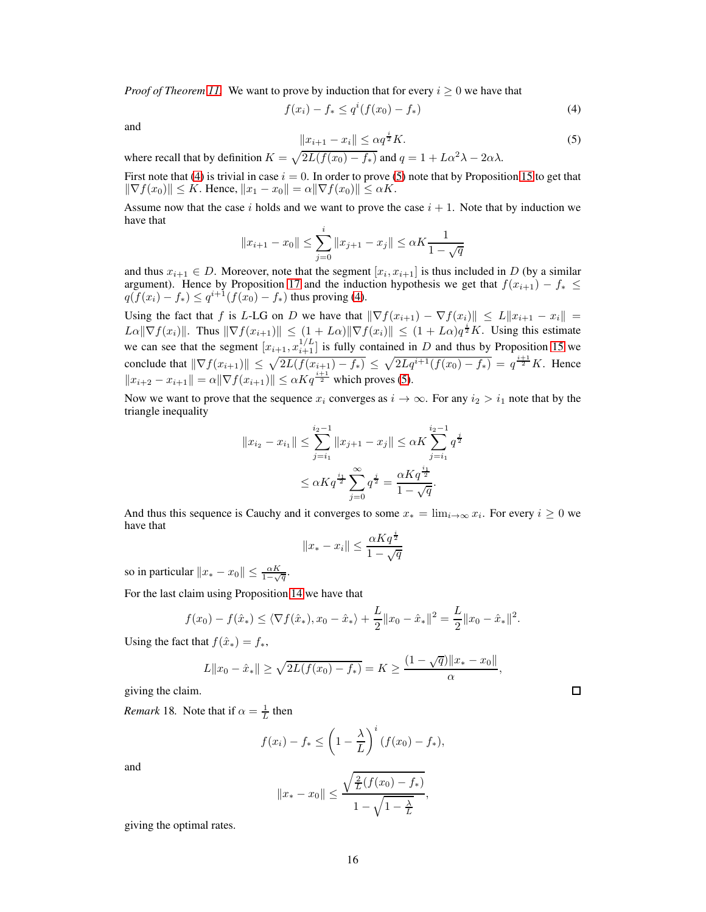*Proof of Theorem [11.](#page-12-2)* We want to prove by induction that for every  $i \geq 0$  we have that

$$
f(x_i) - f_* \le q^i (f(x_0) - f_*)
$$
\n(4)

<span id="page-15-1"></span>and

<span id="page-15-0"></span>
$$
||x_{i+1} - x_i|| \le \alpha q^{\frac{i}{2}} K. \tag{5}
$$

where recall that by definition  $K = \sqrt{2L(f(x_0) - f_*)}$  and  $q = 1 + L\alpha^2\lambda - 2\alpha\lambda$ .

First note that [\(4\)](#page-15-0) is trivial in case  $i = 0$ . In order to prove [\(5\)](#page-15-1) note that by Proposition [15](#page-14-0) to get that  $\|\nabla f(x_0)\| \leq K$ . Hence,  $\|x_1 - x_0\| = \alpha \|\nabla f(x_0)\| \leq \alpha K$ .

Assume now that the case i holds and we want to prove the case  $i + 1$ . Note that by induction we have that

$$
||x_{i+1} - x_0|| \le \sum_{j=0}^i ||x_{j+1} - x_j|| \le \alpha K \frac{1}{1 - \sqrt{q}}
$$

and thus  $x_{i+1} \in D$ . Moreover, note that the segment  $[x_i, x_{i+1}]$  is thus included in D (by a similar argument). Hence by Proposition [17](#page-14-1) and the induction hypothesis we get that  $f(x_{i+1}) - f_* \le$  $q(f(x_i) - f_*) \leq q^{i+1}(f(x_0) - f_*)$  thus proving [\(4\)](#page-15-0).

Using the fact that f is L-LG on D we have that  $\|\nabla f(x_{i+1}) - \nabla f(x_i)\| \le L\|x_{i+1} - x_i\|$  $L\alpha\|\nabla f(x_i)\|$ . Thus  $\|\nabla f(x_{i+1})\| \leq (1+L\alpha)\|\nabla f(x_i)\| \leq (1+L\alpha)q^{\frac{i}{2}}K$ . Using this estimate we can see that the segment  $[x_{i+1}, x_{i+1}^{1/L}]$  is fully contained in D and thus by Proposition [15](#page-14-0) we conclude that  $\|\nabla f(x_{i+1})\| \leq \sqrt{2L(f(x_{i+1}) - f_*)} \leq \sqrt{2Lq^{i+1}(f(x_0) - f_*)} = q^{\frac{i+1}{2}}K$ . Hence  $||x_{i+2} - x_{i+1}|| = \alpha ||\nabla f(x_{i+1})|| \leq \alpha K q^{\frac{i+1}{2}}$  which proves [\(5\)](#page-15-1).

Now we want to prove that the sequence  $x_i$  converges as  $i \to \infty$ . For any  $i_2 > i_1$  note that by the triangle inequality

$$
||x_{i_2} - x_{i_1}|| \le \sum_{j=i_1}^{i_2 - 1} ||x_{j+1} - x_j|| \le \alpha K \sum_{j=i_1}^{i_2 - 1} q^{\frac{j}{2}}
$$
  

$$
\le \alpha K q^{\frac{i_1}{2}} \sum_{j=0}^{\infty} q^{\frac{j}{2}} = \frac{\alpha K q^{\frac{i_1}{2}}}{1 - \sqrt{q}}.
$$

And thus this sequence is Cauchy and it converges to some  $x_* = \lim_{i \to \infty} x_i$ . For every  $i \ge 0$  we have that

$$
||x_* - x_i|| \le \frac{\alpha K q^{\frac{i}{2}}}{1 - \sqrt{q}}
$$

so in particular  $||x_* - x_0|| \le \frac{\alpha K}{1 - \sqrt{q}}$ .

For the last claim using Proposition [14](#page-13-1) we have that

$$
f(x_0) - f(\hat{x}_*) \le \langle \nabla f(\hat{x}_*), x_0 - \hat{x}_* \rangle + \frac{L}{2} ||x_0 - \hat{x}_*||^2 = \frac{L}{2} ||x_0 - \hat{x}_*||^2.
$$

Using the fact that  $f(\hat{x}_*) = f_*$ ,

$$
L||x_0 - \hat{x}_*|| \ge \sqrt{2L(f(x_0) - f_*)} = K \ge \frac{(1 - \sqrt{q})||x_* - x_0||}{\alpha},
$$

giving the claim.

*Remark* 18. Note that if  $\alpha = \frac{1}{L}$  then

$$
f(x_i) - f_* \le \left(1 - \frac{\lambda}{L}\right)^i (f(x_0) - f_*),
$$

and

$$
||x_* - x_0|| \le \frac{\sqrt{\frac{2}{L}(f(x_0) - f_*)}}{1 - \sqrt{1 - \frac{\lambda}{L}}},
$$

giving the optimal rates.

 $\Box$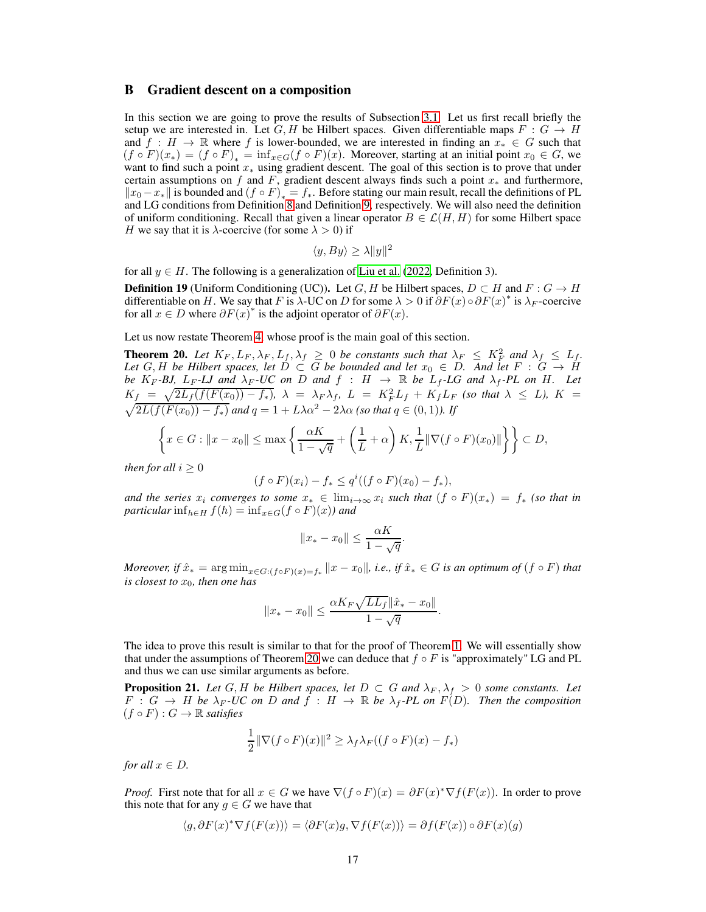### B Gradient descent on a composition

In this section we are going to prove the results of Subsection [3.1.](#page-4-0) Let us first recall briefly the setup we are interested in. Let G, H be Hilbert spaces. Given differentiable maps  $F : G \to H$ and  $f : H \to \mathbb{R}$  where f is lower-bounded, we are interested in finding an  $x_* \in G$  such that  $(f \circ F)(x_*) = (f \circ F)_* = \inf_{x \in G} (f \circ F)(x)$ . Moreover, starting at an initial point  $x_0 \in G$ , we want to find such a point  $x_*$  using gradient descent. The goal of this section is to prove that under certain assumptions on f and F, gradient descent always finds such a point  $x_*$  and furthermore,  $\|x_0 - x_*\|$  is bounded and  $(f \circ F)_* = f_*$ . Before stating our main result, recall the definitions of PL and LG conditions from Definition [8](#page-12-3) and Definition [9,](#page-12-4) respectively. We will also need the definition of uniform conditioning. Recall that given a linear operator  $B \in \mathcal{L}(H, H)$  for some Hilbert space H we say that it is  $\lambda$ -coercive (for some  $\lambda > 0$ ) if

$$
\langle y, By \rangle \ge \lambda \|y\|^2
$$

for all  $y \in H$ . The following is a generalization of [Liu et al. \(2022,](#page-10-0) Definition 3).

**Definition 19** (Uniform Conditioning (UC)). Let G, H be Hilbert spaces,  $D \subset H$  and  $F : G \to H$ differentiable on H. We say that F is  $\lambda$ -UC on D for some  $\lambda > 0$  if  $\partial F(x) \circ \partial F(x)^*$  is  $\lambda_F$ -coercive for all  $x \in D$  where  $\partial F(x)^*$  is the adjoint operator of  $\partial F(x)$ .

Let us now restate Theorem [4,](#page-5-1) whose proof is the main goal of this section.

<span id="page-16-1"></span>**Theorem 20.** Let  $K_F, L_F, \lambda_F, L_f, \lambda_f \geq 0$  be constants such that  $\lambda_F \leq K_F^2$  and  $\lambda_f \leq L_f$ . *Let*  $G, H$  *be Hilbert spaces, let*  $D \subset G$  *be bounded and let*  $x_0 \in D$ *. And let*  $F : G \to H$ *be*  $K_F$ -*BJ,*  $L_F$ -*LJ* and  $\lambda_F$ -*UC* on *D* and  $f : H \rightarrow \mathbb{R}$  be  $L_f$ -*LG* and  $\lambda_f$ -*PL* on *H.* Let  $K_f = \sqrt{2L_f(f(F(x_0)) - f_*)}$ ,  $\lambda = \lambda_F \lambda_f$ ,  $L = K_F^2 L_f + K_f L_F$  *(so that*  $\lambda \leq L$ *),*  $K =$  $\sqrt{2L(f(F(x_0))-f_*)}$  and  $q=1+L\lambda\alpha^2-2\lambda\alpha$  (so that  $q\in(0,1)$ ). If

$$
\left\{x \in G : ||x - x_0|| \le \max\left\{\frac{\alpha K}{1 - \sqrt{q}} + \left(\frac{1}{L} + \alpha\right)K, \frac{1}{L}||\nabla(f \circ F)(x_0)||\right\}\right\} \subset D,
$$

*then for all*  $i \geq 0$ 

$$
(f \circ F)(x_i) - f_* \le q^i ((f \circ F)(x_0) - f_*),
$$

*and the series*  $x_i$  *converges to some*  $x_* \in \lim_{i \to \infty} x_i$  *such that*  $(f \circ F)(x_*) = f_*$  *(so that in*) *particular* inf<sub> $h∈H$ </sub>  $f(h) = inf_{x∈G}(f ∘ F)(x)$ *)* and

$$
||x_* - x_0|| \le \frac{\alpha K}{1 - \sqrt{q}}.
$$

*Moreover, if*  $\hat{x}_* = \arg \min_{x \in G: (f \circ F)(x) = f_*} ||x - x_0||$ , i.e., if  $\hat{x}_* \in G$  is an optimum of  $(f \circ F)$  that *is closest to*  $x_0$ *, then one has* 

$$
||x_* - x_0|| \le \frac{\alpha K_F \sqrt{LL_f} ||\hat{x}_* - x_0||}{1 - \sqrt{q}}.
$$

The idea to prove this result is similar to that for the proof of Theorem [1.](#page-3-1) We will essentially show that under the assumptions of Theorem [20](#page-16-1) we can deduce that  $f \circ F$  is "approximately" LG and PL and thus we can use similar arguments as before.

<span id="page-16-0"></span>**Proposition 21.** Let G, H be Hilbert spaces, let  $D \subset G$  and  $\lambda_F, \lambda_f > 0$  some constants. Let  $F : G \to H$  be  $\lambda_F$ -UC on D and  $f : H \to \mathbb{R}$  be  $\lambda_f$ -PL on  $F(D)$ . Then the composition  $(f \circ F) : G \to \mathbb{R}$  *satisfies* 

$$
\frac{1}{2} \|\nabla (f \circ F)(x)\|^2 \ge \lambda_f \lambda_F ((f \circ F)(x) - f_*)
$$

*for all*  $x \in D$ *.* 

*Proof.* First note that for all  $x \in G$  we have  $\nabla (f \circ F)(x) = \partial F(x)^* \nabla f(F(x))$ . In order to prove this note that for any  $g \in G$  we have that

$$
\langle g, \partial F(x)^* \nabla f(F(x)) \rangle = \langle \partial F(x)g, \nabla f(F(x)) \rangle = \partial f(F(x)) \circ \partial F(x)(g)
$$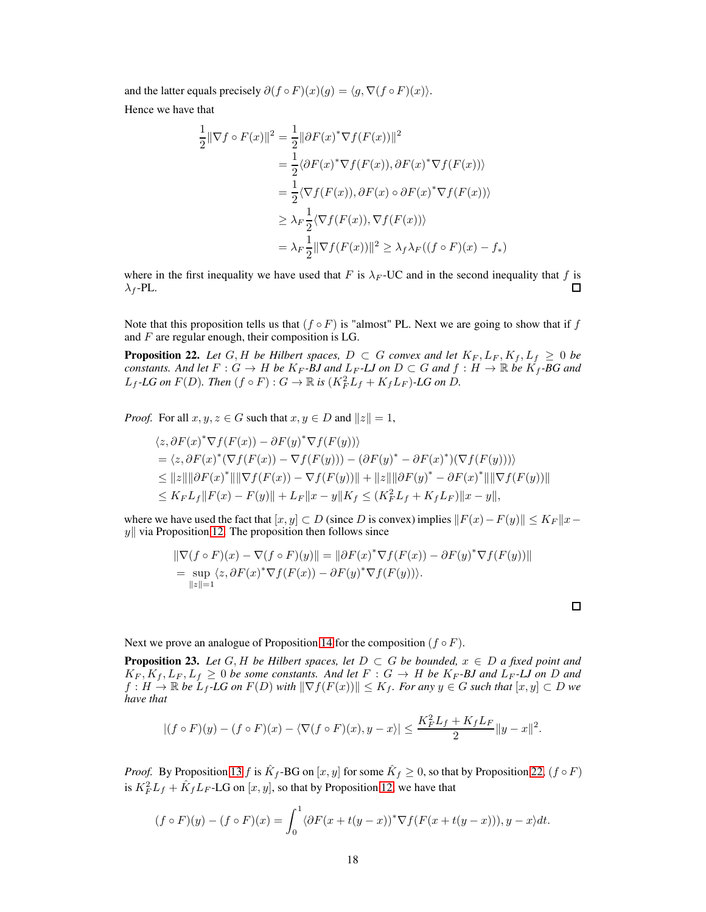and the latter equals precisely  $\partial (f \circ F)(x)(g) = \langle g, \nabla (f \circ F)(x) \rangle$ .

Hence we have that

$$
\frac{1}{2} \|\nabla f \circ F(x)\|^2 = \frac{1}{2} \|\partial F(x)^* \nabla f(F(x))\|^2
$$
  
\n
$$
= \frac{1}{2} \langle \partial F(x)^* \nabla f(F(x)), \partial F(x)^* \nabla f(F(x)) \rangle
$$
  
\n
$$
= \frac{1}{2} \langle \nabla f(F(x)), \partial F(x) \circ \partial F(x)^* \nabla f(F(x)) \rangle
$$
  
\n
$$
\geq \lambda_F \frac{1}{2} \langle \nabla f(F(x)), \nabla f(F(x)) \rangle
$$
  
\n
$$
= \lambda_F \frac{1}{2} \|\nabla f(F(x))\|^2 \geq \lambda_f \lambda_F ((f \circ F)(x) - f_*)
$$

where in the first inequality we have used that F is  $\lambda_F$ -UC and in the second inequality that f is  $\lambda_f$ -PL. ◻

Note that this proposition tells us that  $(f \circ F)$  is "almost" PL. Next we are going to show that if f and  $F$  are regular enough, their composition is LG.

<span id="page-17-0"></span>**Proposition 22.** Let  $G, H$  be Hilbert spaces,  $D \subset G$  convex and let  $K_F, L_F, K_f, L_f \geq 0$  be *constants. And let*  $F: G \to H$  *be*  $K_F$ *-BJ and*  $L_F$ *-LJ on*  $D \subset G$  *and*  $f: H \to \mathbb{R}$  *be*  $K_f$ *-BG and*  $L_f$ -LG on  $F(D)$ . Then  $(f \circ F) : G \to \mathbb{R}$  is  $(K_F^2 L_f + K_f L_F)$ -LG on D.

*Proof.* For all  $x, y, z \in G$  such that  $x, y \in D$  and  $||z|| = 1$ ,

$$
\langle z, \partial F(x)^* \nabla f(F(x)) - \partial F(y)^* \nabla f(F(y)) \rangle \n= \langle z, \partial F(x)^* (\nabla f(F(x)) - \nabla f(F(y))) - (\partial F(y)^* - \partial F(x)^*) (\nabla f(F(y))) \rangle \n\le ||z|| ||\partial F(x)^*|| ||\nabla f(F(x)) - \nabla f(F(y))|| + ||z|| ||\partial F(y)^* - \partial F(x)^*|| ||\nabla f(F(y))|| \n\le K_F L_f ||F(x) - F(y)|| + L_F ||x - y|| K_f \le (K_F^2 L_f + K_f L_F) ||x - y||,
$$

where we have used the fact that  $[x, y] \subset D$  (since D is convex) implies  $||F(x) - F(y)|| \le K_F ||x - y||$  $y\|$  via Proposition [12.](#page-13-0) The proposition then follows since

$$
\|\nabla (f \circ F)(x) - \nabla (f \circ F)(y)\| = \|\partial F(x)^* \nabla f(F(x)) - \partial F(y)^* \nabla f(F(y))\|
$$
  
= 
$$
\sup_{\|z\|=1} \langle z, \partial F(x)^* \nabla f(F(x)) - \partial F(y)^* \nabla f(F(y))\rangle.
$$

 $\Box$ 

Next we prove an analogue of Proposition [14](#page-13-1) for the composition  $(f \circ F)$ .

<span id="page-17-1"></span>**Proposition 23.** Let  $G$ , H be Hilbert spaces, let  $D \subset G$  be bounded,  $x \in D$  a fixed point and  $K_F, K_f, L_F, L_f \geq 0$  *be some constants. And let*  $F : G \to H$  *be*  $K_F$ -*BJ* and  $L_F$ -*LJ* on *D* and  $f: H \to \mathbb{R}$  *be*  $L_f$ -LG on  $F(D)$  with  $\|\nabla f(F(x))\| \le K_f$ . For any  $y \in G$  such that  $[x, y] \subset D$  we *have that*

$$
|(f \circ F)(y) - (f \circ F)(x) - \langle \nabla (f \circ F)(x), y - x \rangle| \le \frac{K_F^2 L_f + K_f L_F}{2} ||y - x||^2.
$$

*Proof.* By Proposition [13](#page-13-2) f is  $\hat{K}_f$ -BG on  $[x, y]$  for some  $\hat{K}_f \ge 0$ , so that by Proposition [22,](#page-17-0)  $(f \circ F)$ is  $K_F^2 L_f + \hat{K}_f L_F$ -LG on  $[x, y]$ , so that by Proposition [12,](#page-13-0) we have that

$$
(f \circ F)(y) - (f \circ F)(x) = \int_0^1 \langle \partial F(x + t(y - x))^* \nabla f(F(x + t(y - x))), y - x \rangle dt.
$$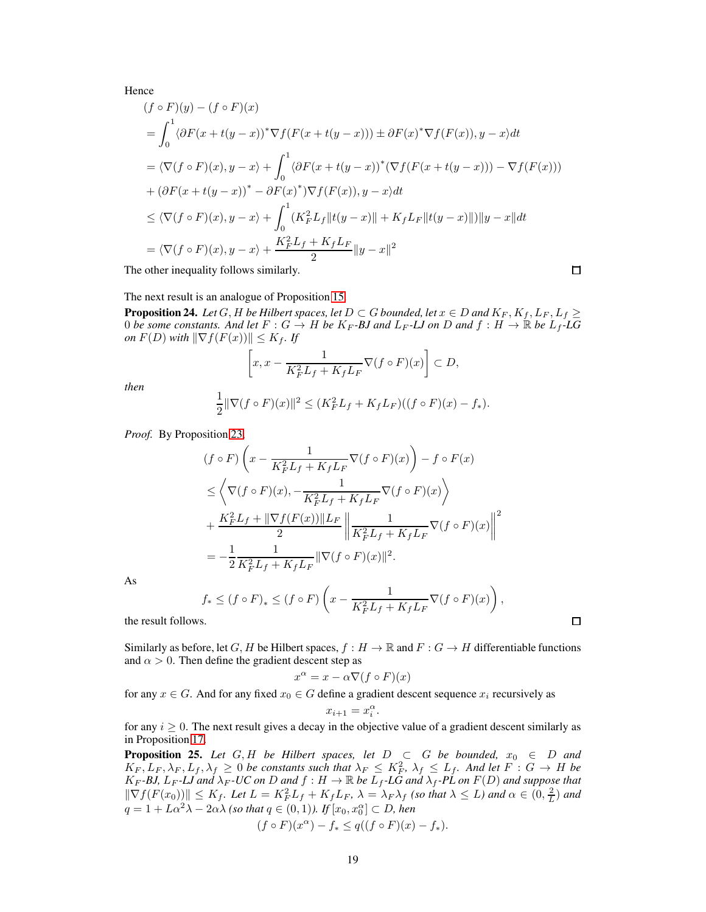Hence

$$
(f \circ F)(y) - (f \circ F)(x)
$$
  
=  $\int_0^1 \langle \partial F(x + t(y - x))^* \nabla f(F(x + t(y - x))) \pm \partial F(x)^* \nabla f(F(x)), y - x \rangle dt$   
=  $\langle \nabla (f \circ F)(x), y - x \rangle + \int_0^1 \langle \partial F(x + t(y - x))^* (\nabla f(F(x + t(y - x))) - \nabla f(F(x)))$   
+  $(\partial F(x + t(y - x))^* - \partial F(x)^*) \nabla f(F(x)), y - x \rangle dt$   
 $\leq \langle \nabla (f \circ F)(x), y - x \rangle + \int_0^1 (K_F^2 L_f ||t(y - x)|| + K_f L_F ||t(y - x)||) ||y - x|| dt$   
=  $\langle \nabla (f \circ F)(x), y - x \rangle + \frac{K_F^2 L_f + K_f L_F}{2} ||y - x||^2$ 

The other inequality follows similarly.

$$
\Box
$$

The next result is an analogue of Proposition [15.](#page-14-0)

<span id="page-18-0"></span>**Proposition 24.** Let G, H be Hilbert spaces, let  $D \subset G$  bounded, let  $x \in D$  and  $K_F, K_f, L_F, L_f \geq$ 0 *be some constants.* And let  $F: G \to H$  *be*  $K_F$ -*BJ* and  $L_F$ -*LJ* on *D* and  $f: H \to \mathbb{R}$  *be*  $L_f$ -*LG on*  $F(D)$  *with*  $\|\nabla f(F(x))\| \leq K_f$ *. If* 

$$
\[x, x - \frac{1}{K_F^2 L_f + K_f L_F} \nabla (f \circ F)(x)\] \subset D,
$$

*then*

$$
\frac{1}{2} \|\nabla (f \circ F)(x)\|^2 \le (K_F^2 L_f + K_f L_F)((f \circ F)(x) - f_*).
$$

*Proof.* By Proposition [23,](#page-17-1)

$$
(f \circ F) \left( x - \frac{1}{K_F^2 L_f + K_f L_F} \nabla (f \circ F)(x) \right) - f \circ F(x)
$$
  
\n
$$
\leq \left\langle \nabla (f \circ F)(x), -\frac{1}{K_F^2 L_f + K_f L_F} \nabla (f \circ F)(x) \right\rangle
$$
  
\n
$$
+ \frac{K_F^2 L_f + ||\nabla f(F(x))||L_F}{2} \left\| \frac{1}{K_F^2 L_f + K_f L_F} \nabla (f \circ F)(x) \right\|^2
$$
  
\n
$$
= -\frac{1}{2} \frac{1}{K_F^2 L_f + K_f L_F} ||\nabla (f \circ F)(x)||^2.
$$

As

$$
f_* \le (f \circ F)_* \le (f \circ F) \left( x - \frac{1}{K_F^2 L_f + K_f L_F} \nabla (f \circ F)(x) \right),
$$

the result follows.

Similarly as before, let G, H be Hilbert spaces,  $f : H \to \mathbb{R}$  and  $F : G \to H$  differentiable functions and  $\alpha > 0$ . Then define the gradient descent step as

$$
\alpha = x - \alpha \nabla (f \circ F)(x)
$$

for any  $x \in G$ . And for any fixed  $x_0 \in G$  define a gradient descent sequence  $x_i$  recursively as

 $x^{\prime}$ 

$$
x_{i+1} = x_i^{\alpha}.
$$

for any  $i \geq 0$ . The next result gives a decay in the objective value of a gradient descent similarly as in Proposition [17.](#page-14-1)

<span id="page-18-1"></span>**Proposition 25.** *Let*  $G, H$  *be Hilbert spaces, let*  $D \subset G$  *be bounded,*  $x_0 \in D$  *and*  $K_F, L_F, \lambda_F, L_f, \lambda_f \geq 0$  *be constants such that*  $\lambda_F \leq K_F^2, \lambda_f \leq L_f$ . And let  $F: G \to H$  be  $K_F$  *-BJ,*  $L_F$  *-LJ* and  $\lambda_F$  *-UC on*  $D$  *and*  $f : H \to \mathbb{R}$  *be*  $\overline{L}_f$  *-LG and*  $\lambda_f$  *-PL on*  $F(D)$  *and suppose that*  $\|\nabla f(F(x_0))\| \le K_f$ . Let  $L = K_F^2 L_f + K_f L_F$ ,  $\lambda = \lambda_F \lambda_f$  (so that  $\lambda \le L$ ) and  $\alpha \in (0, \frac{2}{L})$  and  $q = 1 + L\alpha^2\lambda - 2\alpha\lambda$  (so that  $q \in (0, 1)$ ). If  $[x_0, x_0^{\alpha}] \subset D$ , hen

$$
(f \circ F)(x^{\alpha}) - f_* \le q((f \circ F)(x) - f_*).
$$

 $\Box$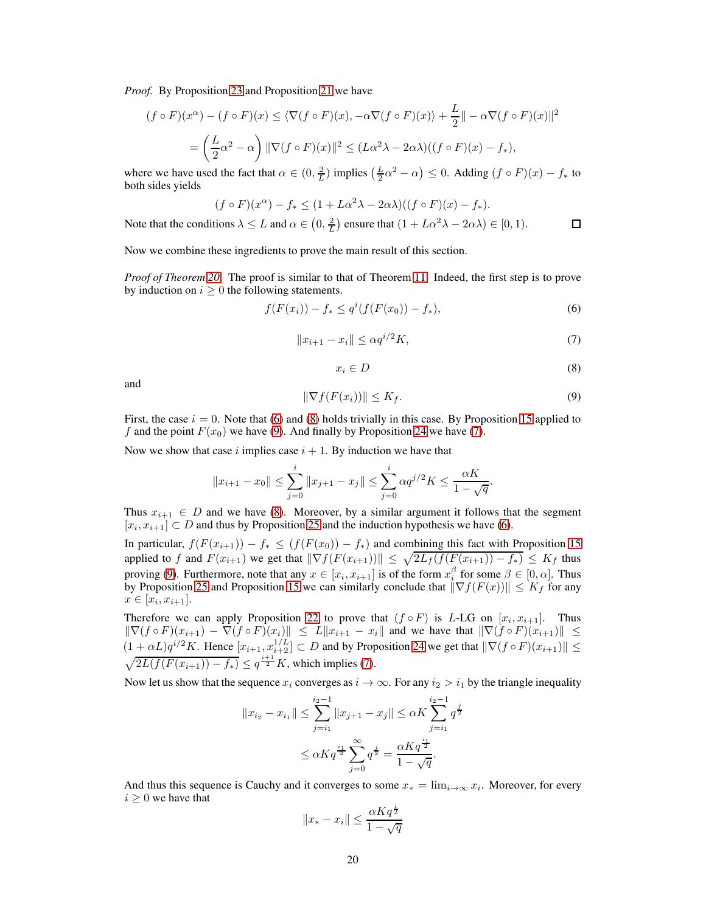*Proof.* By Proposition [23](#page-17-1) and Proposition [21](#page-16-0) we have

$$
(f \circ F)(x^{\alpha}) - (f \circ F)(x) \le \langle \nabla (f \circ F)(x), -\alpha \nabla (f \circ F)(x) \rangle + \frac{L}{2} || -\alpha \nabla (f \circ F)(x) ||^2
$$
  
= 
$$
\left( \frac{L}{2} \alpha^2 - \alpha \right) ||\nabla (f \circ F)(x)||^2 \le (L\alpha^2 \lambda - 2\alpha \lambda)((f \circ F)(x) - f_*)
$$
,

where we have used the fact that  $\alpha \in (0, \frac{2}{L})$  implies  $(\frac{L}{2}\alpha^2 - \alpha) \leq 0$ . Adding  $(f \circ F)(x) - f_*$  to both sides yields

$$
(f \circ F)(x^{\alpha}) - f_{*} \le (1 + L\alpha^{2}\lambda - 2\alpha\lambda)((f \circ F)(x) - f_{*}).
$$

Note that the conditions  $\lambda \leq L$  and  $\alpha \in (0, \frac{2}{L})$  ensure that  $(1 + L\alpha^2 \lambda - 2\alpha \lambda) \in [0, 1)$ .  $\Box$ 

Now we combine these ingredients to prove the main result of this section.

<span id="page-19-3"></span>*Proof of Theorem [20.](#page-16-1)* The proof is similar to that of Theorem [11.](#page-12-2) Indeed, the first step is to prove by induction on  $i \geq 0$  the following statements.

$$
f(F(x_i)) - f_* \le q^i(f(F(x_0)) - f_*),
$$
\n(6)

<span id="page-19-0"></span>
$$
||x_{i+1} - x_i|| \le \alpha q^{i/2} K,\tag{7}
$$

$$
x_i \in D \tag{8}
$$

<span id="page-19-2"></span><span id="page-19-1"></span>and

$$
\|\nabla f(F(x_i))\| \le K_f. \tag{9}
$$

First, the case  $i = 0$ . Note that [\(6\)](#page-19-0) and [\(8\)](#page-19-1) holds trivially in this case. By Proposition [15](#page-14-0) applied to f and the point  $F(x_0)$  we have [\(9\)](#page-19-2). And finally by Proposition [24](#page-18-0) we have [\(7\)](#page-19-3).

Now we show that case i implies case  $i + 1$ . By induction we have that

$$
||x_{i+1} - x_0|| \le \sum_{j=0}^i ||x_{j+1} - x_j|| \le \sum_{j=0}^i \alpha q^{j/2} K \le \frac{\alpha K}{1 - \sqrt{q}}.
$$

Thus  $x_{i+1} \in D$  and we have [\(8\)](#page-19-1). Moreover, by a similar argument it follows that the segment  $[x_i, x_{i+1}] \subset D$  and thus by Proposition [25](#page-18-1) and the induction hypothesis we have [\(6\)](#page-19-0).

In particular,  $f(F(x_{i+1})) - f_* \leq (f(F(x_0)) - f_*)$  and combining this fact with Proposition [15](#page-14-0) applied to f and  $F(x_{i+1})$  we get that  $\|\nabla f(F(x_{i+1}))\| \leq \sqrt{2L_f(f(F(x_{i+1})) - f_*)} \leq K_f$  thus proving [\(9\)](#page-19-2). Furthermore, note that any  $x \in [x_i, x_{i+1}]$  is of the form  $x_i^{\beta}$  for some  $\beta \in [0, \alpha]$ . Thus by Proposition [25](#page-18-1) and Proposition [15](#page-14-0) we can similarly conclude that  $\|\nabla f(F(x))\| \le K_f$  for any  $x \in [x_i, x_{i+1}].$ 

Therefore we can apply Proposition [22](#page-17-0) to prove that  $(f \circ F)$  is L-LG on  $[x_i, x_{i+1}]$ . Thus  $\|\nabla (f \circ F)(x_{i+1}) - \nabla (f \circ F)(x_i)\| \leq L \|x_{i+1} - x_i\|$  and we have that  $\|\nabla (f \circ F)(x_{i+1})\| \leq$  $(1 + \alpha L)q^{i/2}K$ . Hence  $[x_{i+1}, x_{i+2}^{1/L}] \subset D$  and by Proposition [24](#page-18-0) we get that  $\|\nabla (f \circ F)(x_{i+1})\| \leq$  $\sqrt{2L(f(F(x_{i+1})) - f_*)} \leq q^{\frac{i+1}{2}} K$ , which implies [\(7\)](#page-19-3).

Now let us show that the sequence  $x_i$  converges as  $i \to \infty$ . For any  $i_2 > i_1$  by the triangle inequality

$$
||x_{i_2} - x_{i_1}|| \le \sum_{j=i_1}^{i_2 - 1} ||x_{j+1} - x_j|| \le \alpha K \sum_{j=i_1}^{i_2 - 1} q^{\frac{j}{2}}
$$
  

$$
\le \alpha K q^{\frac{i_1}{2}} \sum_{j=0}^{\infty} q^{\frac{j}{2}} = \frac{\alpha K q^{\frac{i_1}{2}}}{1 - \sqrt{q}}.
$$

And thus this sequence is Cauchy and it converges to some  $x_* = \lim_{i \to \infty} x_i$ . Moreover, for every  $i\geq 0$  we have that

$$
||x_* - x_i|| \le \frac{\alpha K q^{\frac{i}{2}}}{1 - \sqrt{q}}
$$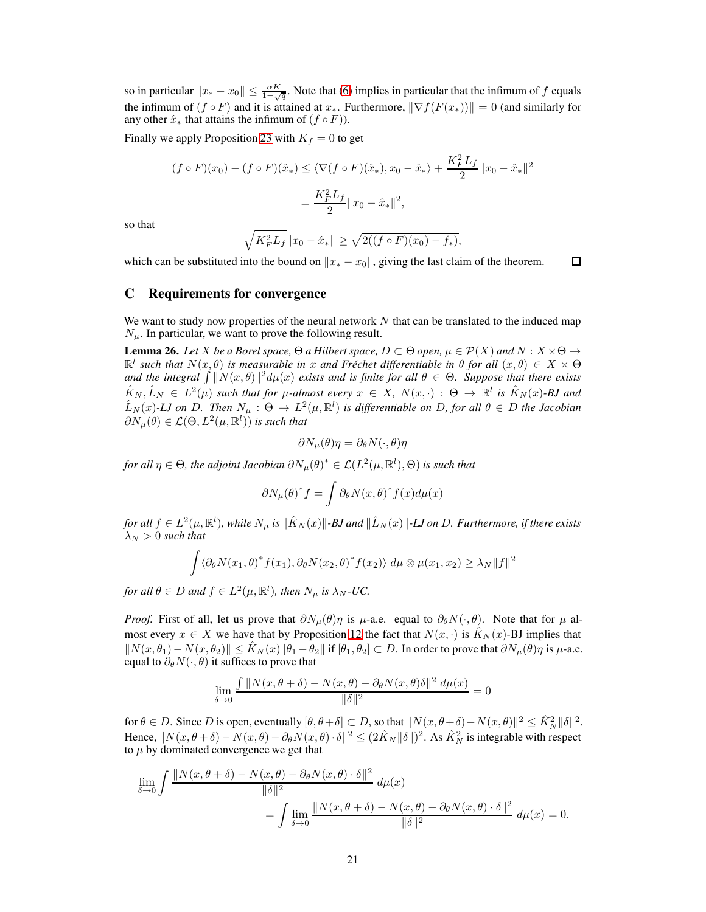so in particular  $||x_* - x_0|| \le \frac{\alpha K}{1-\sqrt{q}}$ . Note that [\(6\)](#page-19-0) implies in particular that the infimum of f equals the infimum of  $(f \circ F)$  and it is attained at  $x_*$ . Furthermore,  $\|\nabla f(F(x_*))\| = 0$  (and similarly for any other  $\hat{x}_*$  that attains the infimum of  $(f \circ F)$ ).

Finally we apply Proposition [23](#page-17-1) with  $K_f = 0$  to get

$$
(f \circ F)(x_0) - (f \circ F)(\hat{x}_*) \le \langle \nabla (f \circ F)(\hat{x}_*), x_0 - \hat{x}_* \rangle + \frac{K_F^2 L_f}{2} ||x_0 - \hat{x}_*||^2
$$

$$
= \frac{K_F^2 L_f}{2} ||x_0 - \hat{x}_*||^2,
$$

so that

$$
\sqrt{K_F^2 L_f} \|x_0 - \hat{x}_*\| \ge \sqrt{2((f \circ F)(x_0) - f_*)},
$$

which can be substituted into the bound on  $||x_* - x_0||$ , giving the last claim of the theorem.  $\Box$ 

## C Requirements for convergence

We want to study now properties of the neural network  $N$  that can be translated to the induced map  $N_{\mu}$ . In particular, we want to prove the following result.

<span id="page-20-0"></span>**Lemma 26.** Let X be a Borel space,  $\Theta$  a Hilbert space,  $D \subset \Theta$  open,  $\mu \in \mathcal{P}(X)$  and  $N : X \times \Theta \to$  $\mathbb{R}^l$  such that  $N(x, \theta)$  is measurable in x and Fréchet differentiable in  $\theta$  for all  $(x, \theta) \in X \times \Theta$ and the integral  $\int ||N(x,\theta)||^2 d\mu(x)$  exists and is finite for all  $\theta \in \Theta$ . Suppose that there exists  $\hat{K}_N, \hat{L}_N \in L^2(\mu)$  *such that for*  $\mu$ -almost every  $x \in X$ ,  $N(x, \cdot) : \Theta \to \mathbb{R}^l$  is  $\hat{K}_N(x)$ -BJ and  $\hat{L}_N(x)$ -LJ on D. Then  $N_\mu$ :  $\Theta \to L^2(\mu, \mathbb{R}^l)$  is differentiable on D, for all  $\theta \in D$  the Jacobian  $\partial N_\mu(\theta) \in \mathcal{L}(\Theta, L^2(\mu, \mathbb{R}^l))$  is such that

$$
\partial N_{\mu}(\theta)\eta = \partial_{\theta} N(\cdot,\theta)\eta
$$

for all  $\eta \in \Theta$ , the adjoint Jacobian  $\partial N_\mu(\theta)^* \in \mathcal{L}(L^2(\mu,\mathbb{R}^l),\Theta)$  is such that

$$
\partial N_{\mu}(\theta)^{*} f = \int \partial_{\theta} N(x, \theta)^{*} f(x) d\mu(x)
$$

 $f$ or all  $f \in L^2(\mu,\mathbb{R}^l)$ , while  $N_\mu$  is  $\|\hat{K}_N(x)\|$ -BJ and  $\|\hat{L}_N(x)\|$ -LJ on D. Furthermore, if there exists  $\lambda_N > 0$  *such that* 

$$
\int \langle \partial_{\theta} N(x_1, \theta)^* f(x_1), \partial_{\theta} N(x_2, \theta)^* f(x_2) \rangle d\mu \otimes \mu(x_1, x_2) \ge \lambda_N ||f||^2
$$

*for all*  $\theta \in D$  *and*  $f \in L^2(\mu, \mathbb{R}^l)$ *, then*  $N_{\mu}$  *is*  $\lambda_N$ *-UC.* 

*Proof.* First of all, let us prove that  $\partial N_\mu(\theta)\eta$  is  $\mu$ -a.e. equal to  $\partial_\theta N(\cdot, \theta)$ . Note that for  $\mu$  almost every  $x \in X$  we have that by Proposition [12](#page-13-0) the fact that  $N(x, \cdot)$  is  $\hat{K}_N(x)$ -BJ implies that  $||N(x, \theta_1) - N(x, \theta_2)|| \leq \hat{K}_N(x)||\theta_1 - \theta_2||$  if  $[\theta_1, \theta_2] \subset D$ . In order to prove that  $\partial N_\mu(\theta)\eta$  is  $\mu$ -a.e. equal to  $\partial_{\theta}N(\cdot,\theta)$  it suffices to prove that

$$
\lim_{\delta \to 0} \frac{\int \|N(x,\theta+\delta) - N(x,\theta) - \partial_{\theta}N(x,\theta)\delta\|^2 d\mu(x)}{\|\delta\|^2} = 0
$$

for  $\theta \in D$ . Since D is open, eventually  $[\theta, \theta + \delta] \subset D$ , so that  $||N(x, \theta + \delta) - N(x, \theta)||^2 \leq \hat{K}_N^2 ||\delta||^2$ . Hence,  $||N(x, \theta + \delta) - N(x, \theta) - \partial_{\theta}N(x, \theta) \cdot \delta||^2 \leq (2\hat{K}_N ||\delta||)^2$ . As  $\hat{K}_N^2$  is integrable with respect to  $\mu$  by dominated convergence we get that

$$
\lim_{\delta \to 0} \int \frac{\|N(x,\theta+\delta) - N(x,\theta) - \partial_{\theta}N(x,\theta) \cdot \delta\|^2}{\|\delta\|^2} d\mu(x)
$$
  
= 
$$
\int \lim_{\delta \to 0} \frac{\|N(x,\theta+\delta) - N(x,\theta) - \partial_{\theta}N(x,\theta) \cdot \delta\|^2}{\|\delta\|^2} d\mu(x) = 0.
$$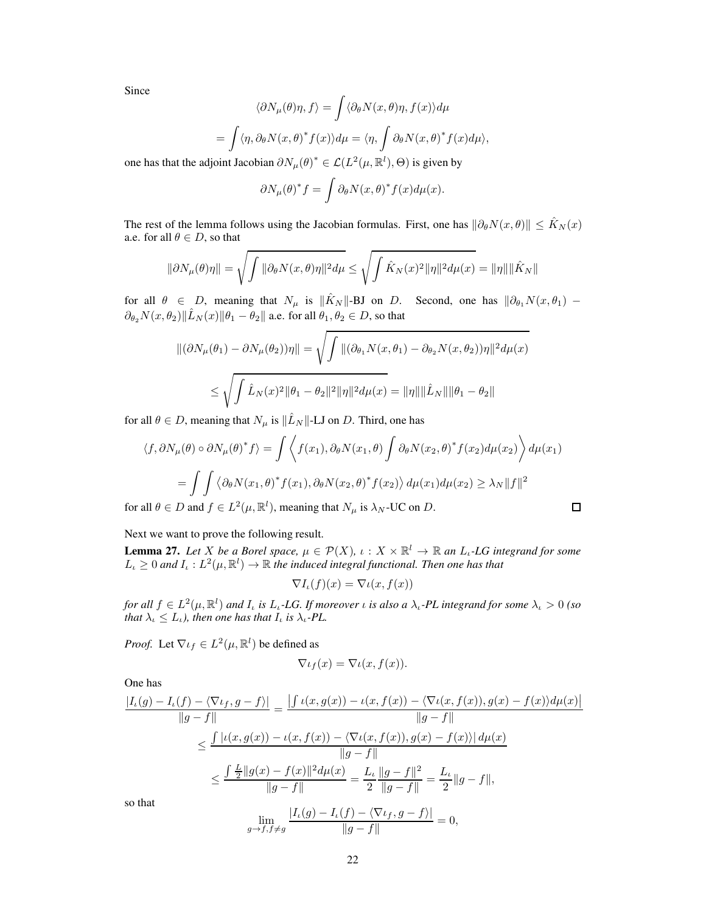Since

$$
\langle \partial N_{\mu}(\theta)\eta, f \rangle = \int \langle \partial_{\theta} N(x, \theta)\eta, f(x) \rangle d\mu
$$
  
= 
$$
\int \langle \eta, \partial_{\theta} N(x, \theta)^* f(x) \rangle d\mu = \langle \eta, \int \partial_{\theta} N(x, \theta)^* f(x) d\mu \rangle,
$$

one has that the adjoint Jacobian  $\partial N_{\mu}(\theta)^* \in \mathcal{L}(L^2(\mu, \mathbb{R}^l), \Theta)$  is given by

$$
\partial N_{\mu}(\theta)^{*} f = \int \partial_{\theta} N(x, \theta)^{*} f(x) d\mu(x).
$$

The rest of the lemma follows using the Jacobian formulas. First, one has  $\|\partial_{\theta}N(x,\theta)\|\leq \hat{K}_N(x)$ a.e. for all  $\theta \in D$ , so that

$$
\|\partial N_{\mu}(\theta)\eta\| = \sqrt{\int \|\partial_{\theta} N(x,\theta)\eta\|^{2} d\mu} \leq \sqrt{\int \hat{K}_{N}(x)^{2} \|\eta\|^{2} d\mu(x)} = \|\eta\| \|\hat{K}_{N}\|
$$

for all  $\theta \in D$ , meaning that  $N_{\mu}$  is  $\|\hat{K}_N\|$ -BJ on D. Second, one has  $\|\partial_{\theta_1}N(x,\theta_1) \partial_{\theta_2}N(x,\theta_2)\Vert \hat{L}_N(x)\Vert \theta_1 - \theta_2\Vert$  a.e. for all  $\theta_1, \theta_2\in D$ , so that

$$
\begin{aligned} ||(\partial N_{\mu}(\theta_1) - \partial N_{\mu}(\theta_2))\eta|| &= \sqrt{\int ||(\partial_{\theta_1} N(x, \theta_1) - \partial_{\theta_2} N(x, \theta_2))\eta||^2 d\mu(x)} \\ &\le \sqrt{\int \hat{L}_N(x)^2 ||\theta_1 - \theta_2||^2 ||\eta||^2 d\mu(x)} = ||\eta|| ||\hat{L}_N|| ||\theta_1 - \theta_2|| \end{aligned}
$$

for all  $\theta \in D$ , meaning that  $N_{\mu}$  is  $\|\hat{L}_N\|$ -LJ on D. Third, one has

$$
\langle f, \partial N_{\mu}(\theta) \circ \partial N_{\mu}(\theta)^{*} f \rangle = \int \left\langle f(x_{1}), \partial_{\theta} N(x_{1}, \theta) \int \partial_{\theta} N(x_{2}, \theta)^{*} f(x_{2}) d\mu(x_{2}) \right\rangle d\mu(x_{1})
$$

$$
= \int \int \left\langle \partial_{\theta} N(x_{1}, \theta)^{*} f(x_{1}), \partial_{\theta} N(x_{2}, \theta)^{*} f(x_{2}) \right\rangle d\mu(x_{1}) d\mu(x_{2}) \ge \lambda_{N} ||f||^{2}
$$
for all  $\theta \in D$  and  $f \in L^{2}(\mu, \mathbb{R}^{l})$ , meaning that  $N_{\mu}$  is  $\lambda_{N}$ -UC on *D*.

Next we want to prove the following result.

<span id="page-21-0"></span>**Lemma 27.** Let X be a Borel space,  $\mu \in \mathcal{P}(X)$ ,  $\iota : X \times \mathbb{R}^l \to \mathbb{R}$  an  $L_{\iota}$ -LG integrand for some  $L_{\iota} \geq 0$  and  $I_{\iota}: L^2(\mu, \mathbb{R}^l) \to \mathbb{R}$  the induced integral functional. Then one has that

 $\nabla I_{\iota}(f)(x) = \nabla \iota(x, f(x))$ 

*for all*  $f \in L^2(\mu, \mathbb{R}^l)$  *and*  $I_t$  *is*  $L_t$ -LG. If moreover *i is also a*  $\lambda_t$ -PL *integrand for some*  $\lambda_t > 0$  *(so that*  $\lambda_{\iota} \leq L_{\iota}$ *), then one has that*  $I_{\iota}$  *is*  $\lambda_{\iota}$ *-PL*.

*Proof.* Let  $\nabla \iota_f \in L^2(\mu, \mathbb{R}^l)$  be defined as

$$
\nabla \iota_f(x) = \nabla \iota(x, f(x)).
$$

One has

$$
\frac{|I_{\iota}(g) - I_{\iota}(f) - \langle \nabla \iota_{f}, g - f \rangle|}{\|g - f\|} = \frac{\left| \int \iota(x, g(x)) - \iota(x, f(x)) - \langle \nabla \iota(x, f(x)), g(x) - f(x) \rangle d\mu(x) \right|}{\|g - f\|}
$$
  

$$
\leq \frac{\int |\iota(x, g(x)) - \iota(x, f(x)) - \langle \nabla \iota(x, f(x)), g(x) - f(x) \rangle| d\mu(x)}{\|g - f\|}
$$
  

$$
\leq \frac{\int \frac{L}{2} \|g(x) - f(x)\|^2 d\mu(x)}{\|g - f\|} = \frac{L_{\iota}}{2} \frac{\|g - f\|^2}{\|g - f\|} = \frac{L_{\iota}}{2} \|g - f\|,
$$
  
so that  

$$
\lim_{g \to f, f \neq g} \frac{|I_{\iota}(g) - I_{\iota}(f) - \langle \nabla \iota_{f}, g - f \rangle|}{\|g - f\|} = 0,
$$